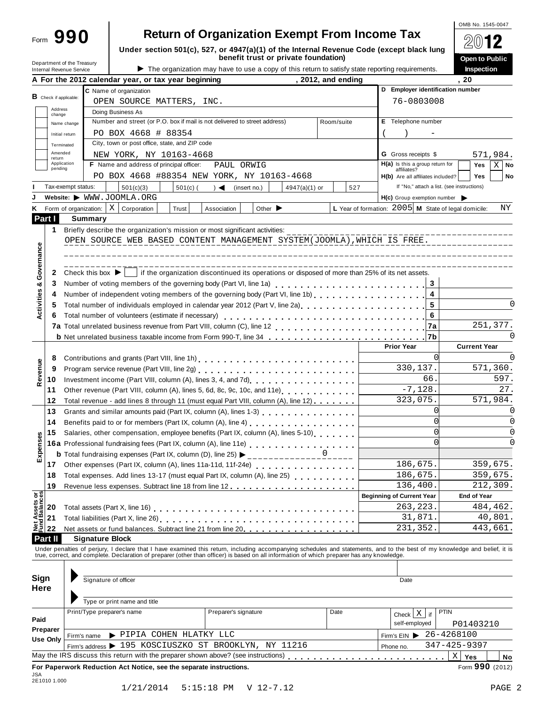| -orm |
|------|
|      |

# **890** Return of Organization Exempt From Income Tax

OMB No. 1545-0047 **2012** 

**Open to Public**

| Under section 501(c), 527, or 4947(a)(1) of the Internal Revenue Code (except black lung |  |
|------------------------------------------------------------------------------------------|--|
| benefit trust or private foundation)                                                     |  |

|                                |                   | Department of the Treasury<br>Internal Revenue Service                                                            |                                                                                                                                                                                                                                         |            |                      |                             | Delletit trust of private foundation,<br>The organization may have to use a copy of this return to satisfy state reporting requirements. |         |                    |                                  |                                                  |           |                                                                                       | <b>Open to Public</b><br>Inspection |             |
|--------------------------------|-------------------|-------------------------------------------------------------------------------------------------------------------|-----------------------------------------------------------------------------------------------------------------------------------------------------------------------------------------------------------------------------------------|------------|----------------------|-----------------------------|------------------------------------------------------------------------------------------------------------------------------------------|---------|--------------------|----------------------------------|--------------------------------------------------|-----------|---------------------------------------------------------------------------------------|-------------------------------------|-------------|
|                                |                   |                                                                                                                   | A For the 2012 calendar year, or tax year beginning                                                                                                                                                                                     |            |                      |                             |                                                                                                                                          |         | , 2012, and ending |                                  |                                                  |           | . 20                                                                                  |                                     |             |
|                                |                   |                                                                                                                   | C Name of organization                                                                                                                                                                                                                  |            |                      |                             |                                                                                                                                          |         |                    |                                  |                                                  |           | D Employer identification number                                                      |                                     |             |
|                                |                   | <b>B</b> Check if applicable:                                                                                     | OPEN SOURCE MATTERS, INC.                                                                                                                                                                                                               |            |                      |                             |                                                                                                                                          |         |                    |                                  | 76-0803008                                       |           |                                                                                       |                                     |             |
|                                | Address<br>change |                                                                                                                   | Doing Business As                                                                                                                                                                                                                       |            |                      |                             |                                                                                                                                          |         |                    |                                  |                                                  |           |                                                                                       |                                     |             |
|                                |                   | Name change                                                                                                       | Number and street (or P.O. box if mail is not delivered to street address)                                                                                                                                                              |            |                      |                             |                                                                                                                                          |         | Room/suite         |                                  | E Telephone number                               |           |                                                                                       |                                     |             |
|                                |                   | Initial return                                                                                                    | PO BOX 4668 # 88354                                                                                                                                                                                                                     |            |                      |                             |                                                                                                                                          |         |                    |                                  |                                                  |           |                                                                                       |                                     |             |
|                                |                   | Terminated                                                                                                        | City, town or post office, state, and ZIP code                                                                                                                                                                                          |            |                      |                             |                                                                                                                                          |         |                    |                                  |                                                  |           |                                                                                       |                                     |             |
|                                | Amended           |                                                                                                                   | NEW YORK, NY 10163-4668                                                                                                                                                                                                                 |            |                      |                             |                                                                                                                                          |         |                    |                                  | <b>G</b> Gross receipts \$                       |           |                                                                                       | 571,984.                            |             |
|                                | return            | Application                                                                                                       | F Name and address of principal officer:                                                                                                                                                                                                |            | PAUL ORWIG           |                             |                                                                                                                                          |         |                    |                                  | $H(a)$ is this a group return for                |           |                                                                                       | Yes                                 | $X \mid$ No |
|                                | pending           |                                                                                                                   | PO BOX 4668 #88354 NEW YORK, NY 10163-4668                                                                                                                                                                                              |            |                      |                             |                                                                                                                                          |         |                    |                                  | affiliates?<br>H(b) Are all affiliates included? |           |                                                                                       | <b>Yes</b>                          | No          |
|                                |                   | Tax-exempt status:                                                                                                |                                                                                                                                                                                                                                         |            | $\rightarrow$        |                             |                                                                                                                                          |         | 527                |                                  |                                                  |           | If "No," attach a list. (see instructions)                                            |                                     |             |
|                                |                   |                                                                                                                   | 501(c)(3)<br>Website: WWW.JOOMLA.ORG                                                                                                                                                                                                    | $501(c)$ ( |                      | (insert no.)                | $4947(a)(1)$ or                                                                                                                          |         |                    |                                  |                                                  |           |                                                                                       |                                     |             |
|                                |                   |                                                                                                                   | Form of organization: $ X $<br>Corporation                                                                                                                                                                                              | Trust      | Association          | Other $\blacktriangleright$ |                                                                                                                                          |         |                    |                                  |                                                  |           | $H(c)$ Group exemption number<br>L Year of formation: 2005 M State of legal domicile: |                                     | ΝY          |
|                                | Part I            |                                                                                                                   | Summary                                                                                                                                                                                                                                 |            |                      |                             |                                                                                                                                          |         |                    |                                  |                                                  |           |                                                                                       |                                     |             |
|                                |                   |                                                                                                                   |                                                                                                                                                                                                                                         |            |                      |                             |                                                                                                                                          |         |                    |                                  |                                                  |           |                                                                                       |                                     |             |
|                                | 1                 |                                                                                                                   | Briefly describe the organization's mission or most significant activities:<br>OPEN SOURCE WEB BASED CONTENT MANAGEMENT SYSTEM(JOOMLA), WHICH IS FREE.                                                                                  |            |                      |                             |                                                                                                                                          |         |                    |                                  |                                                  |           |                                                                                       |                                     |             |
|                                |                   |                                                                                                                   |                                                                                                                                                                                                                                         |            |                      |                             |                                                                                                                                          |         |                    |                                  |                                                  |           |                                                                                       |                                     |             |
|                                |                   |                                                                                                                   |                                                                                                                                                                                                                                         |            |                      |                             |                                                                                                                                          |         |                    |                                  |                                                  |           |                                                                                       |                                     |             |
| Governance                     |                   |                                                                                                                   |                                                                                                                                                                                                                                         |            |                      |                             |                                                                                                                                          |         |                    |                                  |                                                  |           |                                                                                       |                                     |             |
|                                | 2                 |                                                                                                                   | Check this box $\blacktriangleright$   if the organization discontinued its operations or disposed of more than 25% of its net assets.                                                                                                  |            |                      |                             |                                                                                                                                          |         |                    |                                  |                                                  |           |                                                                                       |                                     |             |
| Activities &                   | 3                 |                                                                                                                   |                                                                                                                                                                                                                                         |            |                      |                             |                                                                                                                                          |         |                    |                                  |                                                  | 3         |                                                                                       |                                     |             |
|                                | 4                 |                                                                                                                   | Number of independent voting members of the governing body (Part VI, line 1b)<br>Number of independent voting members of the governing body (Part VI, line 1b)                                                                          |            |                      |                             |                                                                                                                                          |         |                    |                                  |                                                  | 4         |                                                                                       |                                     |             |
|                                | 5                 |                                                                                                                   | Total number of individuals employed in calendar year 2012 (Part V, line 2a)<br>The 2a)                                                                                                                                                 |            |                      |                             |                                                                                                                                          |         |                    |                                  |                                                  | 5         |                                                                                       |                                     | 0           |
|                                | 6                 | 6<br>Total number of volunteers (estimate if necessary)                                                           |                                                                                                                                                                                                                                         |            |                      |                             |                                                                                                                                          |         |                    |                                  |                                                  |           |                                                                                       |                                     |             |
|                                |                   |                                                                                                                   |                                                                                                                                                                                                                                         |            |                      |                             |                                                                                                                                          |         |                    |                                  |                                                  | 7a        |                                                                                       | 251,377.                            |             |
|                                |                   |                                                                                                                   | <b>b</b> Net unrelated business taxable income from Form 990-T, line 34                                                                                                                                                                 |            |                      |                             |                                                                                                                                          |         |                    |                                  |                                                  | 7b        |                                                                                       |                                     |             |
|                                |                   |                                                                                                                   |                                                                                                                                                                                                                                         |            |                      |                             |                                                                                                                                          |         |                    |                                  | <b>Prior Year</b>                                |           |                                                                                       | <b>Current Year</b>                 |             |
|                                | 8                 |                                                                                                                   | Contributions and grants (Part VIII, line 1h)<br>quark and the contract property and the contributions and the contributions of the contract property and contract property and contributions and contributions and contribution        |            |                      |                             |                                                                                                                                          |         |                    |                                  |                                                  | $\Omega$  |                                                                                       |                                     |             |
|                                | 9                 |                                                                                                                   | Program service revenue (Part VIII, line 2g) [2010] [2010] [2010] [2010] [2010] [2010] [2010] [2010] [2010] [2010] [2010] [2010] [2010] [2010] [2010] [2010] [2010] [2010] [2010] [2010] [2010] [2010] [2010] [2010] [2010] [2          |            |                      |                             |                                                                                                                                          |         |                    |                                  |                                                  | 330,137.  |                                                                                       | 571,360.                            |             |
| Revenue                        | 10                |                                                                                                                   |                                                                                                                                                                                                                                         |            |                      |                             |                                                                                                                                          |         |                    |                                  |                                                  | 66        |                                                                                       |                                     | 597.        |
|                                | 11                |                                                                                                                   | Other revenue (Part VIII, column (A), lines 5, 6d, 8c, 9c, 10c, and 11e) [100]                                                                                                                                                          |            |                      |                             |                                                                                                                                          |         |                    |                                  |                                                  | $-7,128.$ |                                                                                       |                                     | 27.         |
|                                | 12                |                                                                                                                   | Total revenue - add lines 8 through 11 (must equal Part VIII, column (A), line 12)                                                                                                                                                      |            |                      |                             |                                                                                                                                          |         |                    |                                  | 323,075.                                         |           |                                                                                       | 571,984.                            |             |
|                                | 13                |                                                                                                                   | Grants and similar amounts paid (Part IX, column (A), lines 1-3)<br><sub>11111</sub> , 11 <sub>11111</sub> , 11 <sub>1111</sub> , 11 <sub>111</sub>                                                                                     |            |                      |                             |                                                                                                                                          |         |                    |                                  |                                                  | $\Omega$  |                                                                                       |                                     |             |
|                                | 14                |                                                                                                                   | Benefits paid to or for members (Part IX, column (A), line 4)                                                                                                                                                                           |            |                      |                             |                                                                                                                                          |         |                    |                                  |                                                  | $\Omega$  |                                                                                       |                                     | 0           |
|                                | 15                |                                                                                                                   | Salaries, other compensation, employee benefits (Part IX, column (A), lines 5-10)                                                                                                                                                       |            |                      |                             |                                                                                                                                          |         |                    |                                  |                                                  | $\Omega$  |                                                                                       |                                     |             |
| kpenses                        |                   |                                                                                                                   |                                                                                                                                                                                                                                         |            |                      |                             |                                                                                                                                          |         |                    |                                  |                                                  | $\Omega$  |                                                                                       |                                     |             |
|                                |                   |                                                                                                                   | 16a Professional fundraising fees (Part IX, column (A), line 11e)<br>16a Professional fundraising fees (Part IX, column (A), line 11e)<br><b>b</b> Total fundraising expenses (Part IX, column (D), line 25) $\blacktriangleright$<br>O |            |                      |                             |                                                                                                                                          |         |                    |                                  |                                                  |           |                                                                                       |                                     |             |
| ш                              | 17                |                                                                                                                   | Other expenses (Part IX, column (A), lines 11a-11d, 11f-24e)                                                                                                                                                                            |            |                      |                             |                                                                                                                                          |         |                    |                                  | 186,675                                          |           |                                                                                       | 359,675.                            |             |
|                                | 18                |                                                                                                                   |                                                                                                                                                                                                                                         |            |                      |                             |                                                                                                                                          | 186,675 |                    |                                  |                                                  | 359,675.  |                                                                                       |                                     |             |
|                                | 19                |                                                                                                                   |                                                                                                                                                                                                                                         |            |                      |                             |                                                                                                                                          |         |                    |                                  | 136,400.                                         |           |                                                                                       | 212,309.                            |             |
|                                |                   |                                                                                                                   |                                                                                                                                                                                                                                         |            |                      |                             |                                                                                                                                          |         |                    | <b>Beginning of Current Year</b> |                                                  |           | <b>End of Year</b>                                                                    |                                     |             |
|                                | 20                |                                                                                                                   |                                                                                                                                                                                                                                         |            |                      |                             |                                                                                                                                          |         |                    |                                  | 263, 223.                                        |           |                                                                                       | 484,462.                            |             |
| Net Assets or<br>Fund Balances | 21                |                                                                                                                   |                                                                                                                                                                                                                                         |            |                      |                             |                                                                                                                                          |         |                    |                                  |                                                  |           |                                                                                       | 40,801.                             |             |
|                                | 22                | 31,871.<br>231,352<br>Net assets or fund balances. Subtract line 21 from line 20 [11, 11, 11, 11, 11, 11, 11, 11] |                                                                                                                                                                                                                                         |            |                      |                             |                                                                                                                                          |         |                    |                                  |                                                  | 443,661.  |                                                                                       |                                     |             |
|                                |                   |                                                                                                                   |                                                                                                                                                                                                                                         |            |                      |                             |                                                                                                                                          |         |                    |                                  |                                                  |           |                                                                                       |                                     |             |
|                                | Part II           |                                                                                                                   | <b>Signature Block</b>                                                                                                                                                                                                                  |            |                      |                             |                                                                                                                                          |         |                    |                                  |                                                  |           |                                                                                       |                                     |             |
|                                |                   |                                                                                                                   | Under penalties of perjury, I declare that I have examined this return, including accompanying schedules and statements, and to the best of my knowledge and belief, it is true, correct, and complete. Declaration of prepare          |            |                      |                             |                                                                                                                                          |         |                    |                                  |                                                  |           |                                                                                       |                                     |             |
|                                |                   |                                                                                                                   |                                                                                                                                                                                                                                         |            |                      |                             |                                                                                                                                          |         |                    |                                  |                                                  |           |                                                                                       |                                     |             |
|                                | Sign              |                                                                                                                   |                                                                                                                                                                                                                                         |            |                      |                             |                                                                                                                                          |         |                    |                                  |                                                  |           |                                                                                       |                                     |             |
|                                | <b>Here</b>       |                                                                                                                   | Signature of officer                                                                                                                                                                                                                    |            |                      |                             |                                                                                                                                          |         |                    |                                  | Date                                             |           |                                                                                       |                                     |             |
|                                |                   |                                                                                                                   |                                                                                                                                                                                                                                         |            |                      |                             |                                                                                                                                          |         |                    |                                  |                                                  |           |                                                                                       |                                     |             |
|                                |                   |                                                                                                                   | Type or print name and title                                                                                                                                                                                                            |            |                      |                             |                                                                                                                                          |         |                    |                                  |                                                  |           |                                                                                       |                                     |             |
|                                |                   |                                                                                                                   | Print/Type preparer's name                                                                                                                                                                                                              |            | Preparer's signature |                             |                                                                                                                                          |         | Date               |                                  | Check $X$ if                                     |           | <b>PTIN</b>                                                                           |                                     |             |
| Paid                           |                   |                                                                                                                   |                                                                                                                                                                                                                                         |            |                      |                             |                                                                                                                                          |         |                    |                                  | self-employed                                    |           | P01403210                                                                             |                                     |             |
|                                | Preparer          | Firm's name                                                                                                       | PIPIA COHEN HLATKY LLC                                                                                                                                                                                                                  |            |                      |                             |                                                                                                                                          |         |                    |                                  |                                                  |           | Firm's EIN > 26-4268100                                                               |                                     |             |
|                                | Use Only          |                                                                                                                   | Firm's address > 195 KOSCIUSZKO ST BROOKLYN, NY 11216                                                                                                                                                                                   |            |                      |                             |                                                                                                                                          |         |                    | Phone no.                        |                                                  |           | 347-425-9397                                                                          |                                     |             |
|                                |                   |                                                                                                                   |                                                                                                                                                                                                                                         |            |                      |                             |                                                                                                                                          |         |                    |                                  |                                                  |           | $\mathbf X$<br>Yes                                                                    |                                     | No          |
|                                |                   |                                                                                                                   |                                                                                                                                                                                                                                         |            |                      |                             |                                                                                                                                          |         |                    |                                  |                                                  |           |                                                                                       |                                     |             |
|                                | 2E1010 1.000      |                                                                                                                   | For Paperwork Reduction Act Notice, see the separate instructions.                                                                                                                                                                      |            |                      |                             |                                                                                                                                          |         |                    |                                  |                                                  |           |                                                                                       | Form 990 (2012)                     |             |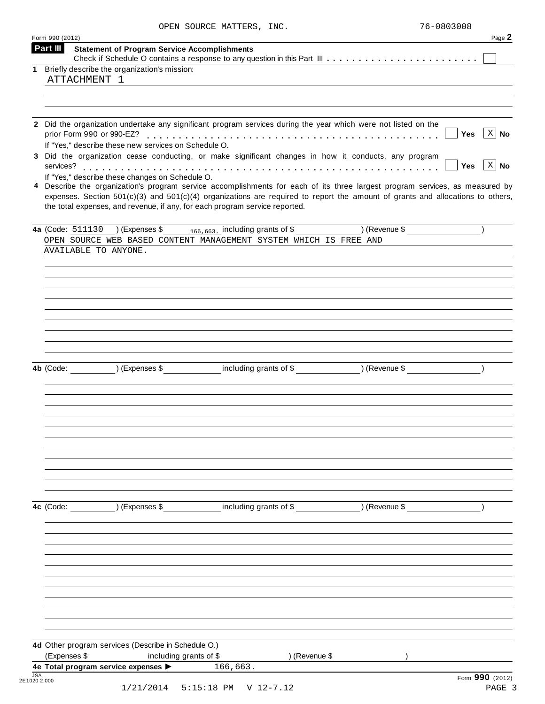| OPEN SOURCE MATTERS, INC. | 76-0803008 |
|---------------------------|------------|
|                           |            |

| Form 990 (2012) |                                                                                                                                                                                                                                                                                                                                                   | Page 2           |
|-----------------|---------------------------------------------------------------------------------------------------------------------------------------------------------------------------------------------------------------------------------------------------------------------------------------------------------------------------------------------------|------------------|
| Part III        | <b>Statement of Program Service Accomplishments</b>                                                                                                                                                                                                                                                                                               |                  |
|                 |                                                                                                                                                                                                                                                                                                                                                   |                  |
| $\mathbf 1$     | Briefly describe the organization's mission:<br>ATTACHMENT 1                                                                                                                                                                                                                                                                                      |                  |
|                 |                                                                                                                                                                                                                                                                                                                                                   |                  |
|                 |                                                                                                                                                                                                                                                                                                                                                   |                  |
|                 |                                                                                                                                                                                                                                                                                                                                                   |                  |
|                 | 2 Did the organization undertake any significant program services during the year which were not listed on the<br>Yes<br>If "Yes," describe these new services on Schedule O.                                                                                                                                                                     | $\mid X \mid$ No |
|                 | 3 Did the organization cease conducting, or make significant changes in how it conducts, any program<br>Yes                                                                                                                                                                                                                                       | $\mid X \mid$ No |
|                 | If "Yes," describe these changes on Schedule O.                                                                                                                                                                                                                                                                                                   |                  |
|                 | 4 Describe the organization's program service accomplishments for each of its three largest program services, as measured by<br>expenses. Section $501(c)(3)$ and $501(c)(4)$ organizations are required to report the amount of grants and allocations to others,<br>the total expenses, and revenue, if any, for each program service reported. |                  |
|                 | $($ Revenue \$<br>4a (Code: $511130$ ) (Expenses \$166,663, including grants of \$                                                                                                                                                                                                                                                                |                  |
|                 | OPEN SOURCE WEB BASED CONTENT MANAGEMENT SYSTEM WHICH IS FREE AND                                                                                                                                                                                                                                                                                 |                  |
|                 | AVAILABLE TO ANYONE.                                                                                                                                                                                                                                                                                                                              |                  |
|                 |                                                                                                                                                                                                                                                                                                                                                   |                  |
|                 |                                                                                                                                                                                                                                                                                                                                                   |                  |
|                 |                                                                                                                                                                                                                                                                                                                                                   |                  |
|                 |                                                                                                                                                                                                                                                                                                                                                   |                  |
|                 |                                                                                                                                                                                                                                                                                                                                                   |                  |
|                 |                                                                                                                                                                                                                                                                                                                                                   |                  |
|                 |                                                                                                                                                                                                                                                                                                                                                   |                  |
|                 |                                                                                                                                                                                                                                                                                                                                                   |                  |
|                 |                                                                                                                                                                                                                                                                                                                                                   |                  |
|                 |                                                                                                                                                                                                                                                                                                                                                   |                  |
|                 | (Expenses \$ including grants of \$ ) (Revenue \$<br>4b (Code:                                                                                                                                                                                                                                                                                    |                  |
|                 |                                                                                                                                                                                                                                                                                                                                                   |                  |
|                 |                                                                                                                                                                                                                                                                                                                                                   |                  |
|                 |                                                                                                                                                                                                                                                                                                                                                   |                  |
|                 |                                                                                                                                                                                                                                                                                                                                                   |                  |
|                 |                                                                                                                                                                                                                                                                                                                                                   |                  |
|                 |                                                                                                                                                                                                                                                                                                                                                   |                  |
|                 |                                                                                                                                                                                                                                                                                                                                                   |                  |
|                 |                                                                                                                                                                                                                                                                                                                                                   |                  |
|                 |                                                                                                                                                                                                                                                                                                                                                   |                  |
|                 |                                                                                                                                                                                                                                                                                                                                                   |                  |
|                 |                                                                                                                                                                                                                                                                                                                                                   |                  |
|                 |                                                                                                                                                                                                                                                                                                                                                   |                  |
|                 |                                                                                                                                                                                                                                                                                                                                                   |                  |
|                 | including grants of \$ (Revenue \$)<br>4c (Code:<br>) (Expenses \$                                                                                                                                                                                                                                                                                |                  |
|                 |                                                                                                                                                                                                                                                                                                                                                   |                  |
|                 |                                                                                                                                                                                                                                                                                                                                                   |                  |
|                 |                                                                                                                                                                                                                                                                                                                                                   |                  |
|                 |                                                                                                                                                                                                                                                                                                                                                   |                  |
|                 |                                                                                                                                                                                                                                                                                                                                                   |                  |
|                 |                                                                                                                                                                                                                                                                                                                                                   |                  |
|                 |                                                                                                                                                                                                                                                                                                                                                   |                  |
|                 |                                                                                                                                                                                                                                                                                                                                                   |                  |
|                 |                                                                                                                                                                                                                                                                                                                                                   |                  |
|                 |                                                                                                                                                                                                                                                                                                                                                   |                  |
|                 |                                                                                                                                                                                                                                                                                                                                                   |                  |
|                 |                                                                                                                                                                                                                                                                                                                                                   |                  |
|                 | 4d Other program services (Describe in Schedule O.)                                                                                                                                                                                                                                                                                               |                  |
|                 | (Expenses \$<br>including grants of \$<br>) (Revenue \$                                                                                                                                                                                                                                                                                           |                  |
|                 | 4e Total program service expenses > 166,663.                                                                                                                                                                                                                                                                                                      |                  |
| <b>JSA</b>      |                                                                                                                                                                                                                                                                                                                                                   |                  |
| 2E1020 2.000    | Form 990 (2012)                                                                                                                                                                                                                                                                                                                                   |                  |
|                 | 1/21/2014<br>5:15:18 PM V 12-7.12                                                                                                                                                                                                                                                                                                                 | PAGE 3           |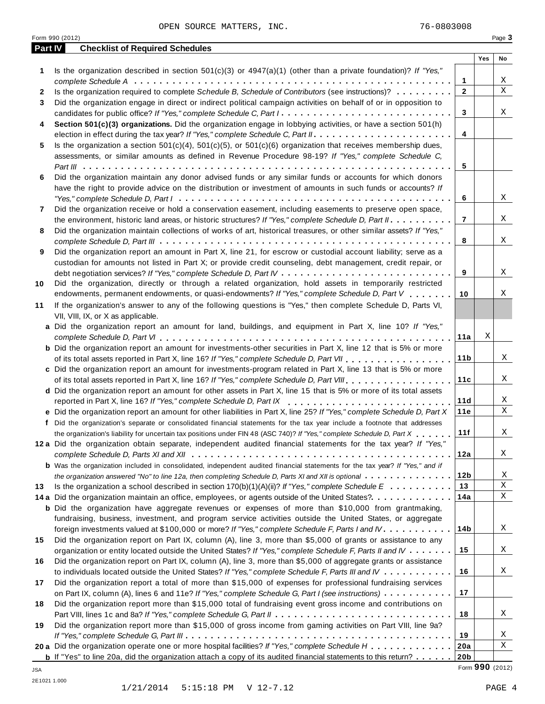Form 990 (2012) Page **3**

| <b>Part IV</b> | <b>Checklist of Required Schedules</b>                                                                                              |                 |     |    |
|----------------|-------------------------------------------------------------------------------------------------------------------------------------|-----------------|-----|----|
|                |                                                                                                                                     |                 | Yes | No |
| 1              | Is the organization described in section $501(c)(3)$ or $4947(a)(1)$ (other than a private foundation)? If "Yes,"                   |                 |     |    |
|                |                                                                                                                                     | 1               |     | Χ  |
| 2              | Is the organization required to complete Schedule B, Schedule of Contributors (see instructions)?                                   | $\mathbf{2}$    |     | X  |
| 3              | Did the organization engage in direct or indirect political campaign activities on behalf of or in opposition to                    |                 |     |    |
|                |                                                                                                                                     | 3               |     | X  |
| 4              | Section 501(c)(3) organizations. Did the organization engage in lobbying activities, or have a section 501(h)                       |                 |     |    |
|                |                                                                                                                                     | 4               |     |    |
| 5              | Is the organization a section $501(c)(4)$ , $501(c)(5)$ , or $501(c)(6)$ organization that receives membership dues,                |                 |     |    |
|                | assessments, or similar amounts as defined in Revenue Procedure 98-19? If "Yes," complete Schedule C,                               |                 |     |    |
|                |                                                                                                                                     | 5               |     |    |
| 6              | Did the organization maintain any donor advised funds or any similar funds or accounts for which donors                             |                 |     |    |
|                | have the right to provide advice on the distribution or investment of amounts in such funds or accounts? If                         |                 |     |    |
|                |                                                                                                                                     | 6               |     | Χ  |
| 7              | Did the organization receive or hold a conservation easement, including easements to preserve open space,                           |                 |     |    |
|                | the environment, historic land areas, or historic structures? If "Yes," complete Schedule D, Part II.                               | 7               |     | Χ  |
| 8              | Did the organization maintain collections of works of art, historical treasures, or other similar assets? If "Yes,"                 |                 |     |    |
|                |                                                                                                                                     | 8               |     | X  |
| 9              | Did the organization report an amount in Part X, line 21, for escrow or custodial account liability; serve as a                     |                 |     |    |
|                | custodian for amounts not listed in Part X; or provide credit counseling, debt management, credit repair, or                        |                 |     |    |
|                |                                                                                                                                     | 9               |     | Χ  |
| 10             | Did the organization, directly or through a related organization, hold assets in temporarily restricted                             |                 |     |    |
|                | endowments, permanent endowments, or quasi-endowments? If "Yes," complete Schedule D, Part V                                        | 10              |     | Χ  |
| 11             | If the organization's answer to any of the following questions is "Yes," then complete Schedule D, Parts VI,                        |                 |     |    |
|                | VII, VIII, IX, or X as applicable.                                                                                                  |                 |     |    |
|                | a Did the organization report an amount for land, buildings, and equipment in Part X, line 10? If "Yes,"                            |                 |     |    |
|                |                                                                                                                                     | 11a             | Χ   |    |
|                | <b>b</b> Did the organization report an amount for investments-other securities in Part X, line 12 that is 5% or more               |                 |     |    |
|                | of its total assets reported in Part X, line 16? If "Yes," complete Schedule D, Part VII                                            | 11 <sub>b</sub> |     | X  |
|                | c Did the organization report an amount for investments-program related in Part X, line 13 that is 5% or more                       |                 |     |    |
|                | of its total assets reported in Part X, line 16? If "Yes," complete Schedule D, Part VIII.                                          | 11c             |     | X  |
|                | d Did the organization report an amount for other assets in Part X, line 15 that is 5% or more of its total assets                  |                 |     |    |
|                | reported in Part X, line 16? If "Yes," complete Schedule D, Part IX                                                                 | 11d             |     | Χ  |
|                | e Did the organization report an amount for other liabilities in Part X, line 25? If "Yes," complete Schedule D, Part X             | 11e             |     | X  |
|                | f Did the organization's separate or consolidated financial statements for the tax year include a footnote that addresses           |                 |     |    |
|                | the organization's liability for uncertain tax positions under FIN 48 (ASC 740)? If "Yes," complete Schedule D, Part X              | 11f             |     | Χ  |
|                | 12a Did the organization obtain separate, independent audited financial statements for the tax year? If "Yes,"                      |                 |     |    |
|                |                                                                                                                                     | 12a             |     | Χ  |
|                | <b>b</b> Was the organization included in consolidated, independent audited financial statements for the tax year? If "Yes," and if |                 |     |    |
|                | the organization answered "No" to line 12a, then completing Schedule D, Parts XI and XII is optional                                | 12 <sub>b</sub> |     | Χ  |
| 13             | Is the organization a school described in section $170(b)(1)(A)(ii)?$ If "Yes," complete Schedule E                                 | 13              |     | Χ  |
|                | 14 a Did the organization maintain an office, employees, or agents outside of the United States?                                    | 14a             |     | Χ  |
|                | <b>b</b> Did the organization have aggregate revenues or expenses of more than \$10,000 from grantmaking,                           |                 |     |    |
|                | fundraising, business, investment, and program service activities outside the United States, or aggregate                           |                 |     |    |
|                | foreign investments valued at \$100,000 or more? If "Yes," complete Schedule F, Parts I and IV                                      | 14b             |     | Χ  |
| 15             | Did the organization report on Part IX, column (A), line 3, more than \$5,000 of grants or assistance to any                        |                 |     |    |
|                | organization or entity located outside the United States? If "Yes," complete Schedule F, Parts II and IV                            | 15              |     | Χ  |
| 16             | Did the organization report on Part IX, column (A), line 3, more than \$5,000 of aggregate grants or assistance                     |                 |     |    |
|                | to individuals located outside the United States? If "Yes," complete Schedule F, Parts III and IV                                   | 16              |     | X  |
| 17             | Did the organization report a total of more than \$15,000 of expenses for professional fundraising services                         |                 |     |    |
|                | on Part IX, column (A), lines 6 and 11e? If "Yes," complete Schedule G, Part I (see instructions)                                   | 17              |     |    |
| 18             | Did the organization report more than \$15,000 total of fundraising event gross income and contributions on                         |                 |     |    |
|                |                                                                                                                                     | 18              |     | Χ  |
| 19             | Did the organization report more than \$15,000 of gross income from gaming activities on Part VIII, line 9a?                        |                 |     |    |
|                |                                                                                                                                     | 19              |     | Χ  |
|                | 20 a Did the organization operate one or more hospital facilities? If "Yes," complete Schedule H                                    | 20a             |     | Χ  |
|                | <b>b</b> If "Yes" to line 20a, did the organization attach a copy of its audited financial statements to this return? $\ldots$      | 20 <sub>b</sub> |     |    |

Form **990** (2012) JSA

2E1021 1.000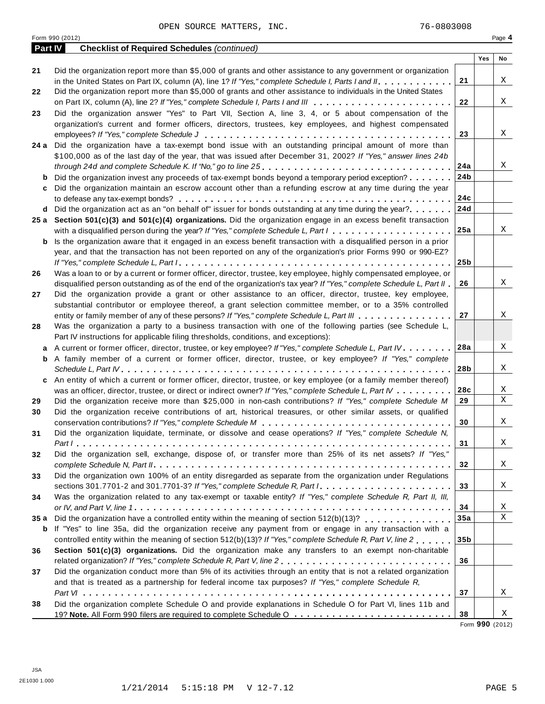|      | Form 990 (2012)                                                                                                               |                 |     | Page 4 |
|------|-------------------------------------------------------------------------------------------------------------------------------|-----------------|-----|--------|
|      | Part IV<br><b>Checklist of Required Schedules (continued)</b>                                                                 |                 |     |        |
|      |                                                                                                                               |                 | Yes | No     |
| 21   | Did the organization report more than \$5,000 of grants and other assistance to any government or organization                |                 |     |        |
|      | in the United States on Part IX, column (A), line 1? If "Yes," complete Schedule I, Parts I and II.                           | 21              |     | X      |
| 22   | Did the organization report more than \$5,000 of grants and other assistance to individuals in the United States              |                 |     |        |
|      |                                                                                                                               | 22              |     | X      |
| 23   | Did the organization answer "Yes" to Part VII, Section A, line 3, 4, or 5 about compensation of the                           |                 |     |        |
|      | organization's current and former officers, directors, trustees, key employees, and highest compensated                       |                 |     |        |
|      |                                                                                                                               | 23              |     | X      |
|      | 24 a Did the organization have a tax-exempt bond issue with an outstanding principal amount of more than                      |                 |     |        |
|      | \$100,000 as of the last day of the year, that was issued after December 31, 2002? If "Yes," answer lines 24b                 |                 |     |        |
|      |                                                                                                                               | 24a             |     | Χ      |
| b    | Did the organization invest any proceeds of tax-exempt bonds beyond a temporary period exception?                             | 24b             |     |        |
| c    | Did the organization maintain an escrow account other than a refunding escrow at any time during the year                     |                 |     |        |
|      |                                                                                                                               | 24c             |     |        |
|      | d Did the organization act as an "on behalf of" issuer for bonds outstanding at any time during the year?                     | 24d             |     |        |
|      | 25 a Section 501(c)(3) and 501(c)(4) organizations. Did the organization engage in an excess benefit transaction              |                 |     |        |
|      |                                                                                                                               | 25a             |     | X      |
|      |                                                                                                                               |                 |     |        |
| b    | Is the organization aware that it engaged in an excess benefit transaction with a disqualified person in a prior              |                 |     |        |
|      | year, and that the transaction has not been reported on any of the organization's prior Forms 990 or 990-EZ?                  | 25 <sub>b</sub> |     |        |
|      |                                                                                                                               |                 |     |        |
| 26   | Was a loan to or by a current or former officer, director, trustee, key employee, highly compensated employee, or             |                 |     | X      |
|      | disqualified person outstanding as of the end of the organization's tax year? If "Yes," complete Schedule L, Part II          | 26              |     |        |
| 27   | Did the organization provide a grant or other assistance to an officer, director, trustee, key employee,                      |                 |     |        |
|      | substantial contributor or employee thereof, a grant selection committee member, or to a 35% controlled                       |                 |     |        |
|      | entity or family member of any of these persons? If "Yes," complete Schedule L, Part III                                      | 27              |     | X      |
| 28   | Was the organization a party to a business transaction with one of the following parties (see Schedule L,                     |                 |     |        |
|      | Part IV instructions for applicable filing thresholds, conditions, and exceptions):                                           |                 |     |        |
| a    | A current or former officer, director, trustee, or key employee? If "Yes," complete Schedule L, Part IV.                      | 28a             |     | Χ      |
|      | <b>b</b> A family member of a current or former officer, director, trustee, or key employee? If "Yes," complete               |                 |     |        |
|      |                                                                                                                               | 28b             |     | X      |
| c    | An entity of which a current or former officer, director, trustee, or key employee (or a family member thereof)               |                 |     |        |
|      | was an officer, director, trustee, or direct or indirect owner? If "Yes," complete Schedule L, Part IV                        | 28c             |     | Χ      |
| 29   | Did the organization receive more than \$25,000 in non-cash contributions? If "Yes," complete Schedule M                      | 29              |     | Χ      |
| 30   | Did the organization receive contributions of art, historical treasures, or other similar assets, or qualified                |                 |     |        |
|      |                                                                                                                               | 30              |     | Χ      |
| 31   | Did the organization liquidate, terminate, or dissolve and cease operations? If "Yes," complete Schedule N,                   |                 |     |        |
|      |                                                                                                                               | 31              |     | Χ      |
| 32   | Did the organization sell, exchange, dispose of, or transfer more than 25% of its net assets? If "Yes,"                       |                 |     |        |
|      |                                                                                                                               | 32              |     | X      |
| 33   | Did the organization own 100% of an entity disregarded as separate from the organization under Regulations                    |                 |     |        |
|      | sections 301.7701-2 and 301.7701-3? If "Yes," complete Schedule R, Part $l_1, \ldots, \ldots, \ldots, \ldots, \ldots, \ldots$ | 33              |     | Χ      |
| 34   | Was the organization related to any tax-exempt or taxable entity? If "Yes," complete Schedule R, Part II, III,                |                 |     |        |
|      |                                                                                                                               | 34              |     | Χ      |
| 35 a | Did the organization have a controlled entity within the meaning of section 512(b)(13)?                                       | 35a             |     | X      |
| b    | If "Yes" to line 35a, did the organization receive any payment from or engage in any transaction with a                       |                 |     |        |
|      | controlled entity within the meaning of section 512(b)(13)? If "Yes," complete Schedule R, Part V, line 2                     | 35 <sub>b</sub> |     |        |
| 36   | Section 501(c)(3) organizations. Did the organization make any transfers to an exempt non-charitable                          |                 |     |        |
|      |                                                                                                                               | 36              |     |        |

**37 38** and that is treated as a partnership for federal income tax purposes? *If "Yes," complete Schedule R, Part VI* m m m m m m m m m m m m m m m m m m m m m m m m m m m m m m m m m m m m m m m m m m m m m m m m m m m m m m m m m m Did the organization complete Schedule O and provide explanations in Schedule O for Part VI, lines 11b and 19? **Note.** All Form <sup>990</sup> filers are required to complete Schedule <sup>O</sup> m m m m m m m m m m m m m m m m m m m m m m m m m

37 Did the organization conduct more than 5% of its activities through an entity that is not a related organization

Form **990** (2012)

X

X

**38**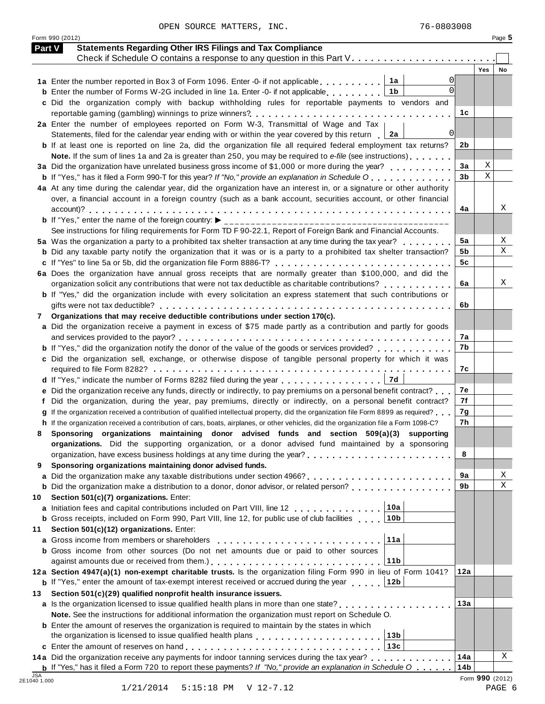Form 990 (2012) Page **5**

| Part V     | <b>Statements Regarding Other IRS Filings and Tax Compliance</b>                                                                                                                                |                 |             |                 |
|------------|-------------------------------------------------------------------------------------------------------------------------------------------------------------------------------------------------|-----------------|-------------|-----------------|
|            | Check if Schedule O contains a response to any question in this Part V.                                                                                                                         |                 | <b>Yes</b>  | No              |
|            | 1a                                                                                                                                                                                              |                 |             |                 |
|            | 1 <sub>b</sub><br><b>b</b> Enter the number of Forms W-2G included in line 1a. Enter -0- if not applicable                                                                                      |                 |             |                 |
|            | c Did the organization comply with backup withholding rules for reportable payments to vendors and                                                                                              |                 |             |                 |
|            | reportable gaming (gambling) winnings to prize winners?                                                                                                                                         | 1с              |             |                 |
|            | 2a Enter the number of employees reported on Form W-3, Transmittal of Wage and Tax                                                                                                              |                 |             |                 |
|            | 0 <br>Statements, filed for the calendar year ending with or within the year covered by this return $\Box$ 2a                                                                                   |                 |             |                 |
|            | <b>b</b> If at least one is reported on line 2a, did the organization file all required federal employment tax returns?                                                                         | 2b              |             |                 |
|            | Note. If the sum of lines 1a and 2a is greater than 250, you may be required to e-file (see instructions)                                                                                       |                 |             |                 |
|            | 3a Did the organization have unrelated business gross income of \$1,000 or more during the year?                                                                                                | 3a              | Χ           |                 |
|            | <b>b</b> If "Yes," has it filed a Form 990-T for this year? If "No," provide an explanation in Schedule O                                                                                       | 3 <sub>b</sub>  | $\mathbf X$ |                 |
|            | 4a At any time during the calendar year, did the organization have an interest in, or a signature or other authority                                                                            |                 |             |                 |
|            | over, a financial account in a foreign country (such as a bank account, securities account, or other financial                                                                                  |                 |             |                 |
|            |                                                                                                                                                                                                 | 4a              |             | Χ               |
|            | See instructions for filing requirements for Form TD F 90-22.1, Report of Foreign Bank and Financial Accounts.                                                                                  |                 |             |                 |
|            | 5a Was the organization a party to a prohibited tax shelter transaction at any time during the tax year?                                                                                        | 5a              |             | Χ               |
|            | <b>b</b> Did any taxable party notify the organization that it was or is a party to a prohibited tax shelter transaction?                                                                       | 5b              |             | X               |
|            | c If "Yes" to line 5a or 5b, did the organization file Form 8886-T?                                                                                                                             | 5 <sub>c</sub>  |             |                 |
|            | 6a Does the organization have annual gross receipts that are normally greater than \$100,000, and did the                                                                                       |                 |             |                 |
|            | organization solicit any contributions that were not tax deductible as charitable contributions?                                                                                                | 6а              |             | Χ               |
|            | <b>b</b> If "Yes," did the organization include with every solicitation an express statement that such contributions or                                                                         |                 |             |                 |
|            |                                                                                                                                                                                                 | 6b              |             |                 |
| 7          | Organizations that may receive deductible contributions under section 170(c).                                                                                                                   |                 |             |                 |
|            | a Did the organization receive a payment in excess of \$75 made partly as a contribution and partly for goods                                                                                   |                 |             |                 |
|            |                                                                                                                                                                                                 | 7a              |             |                 |
|            | <b>b</b> If "Yes," did the organization notify the donor of the value of the goods or services provided?                                                                                        | 7b              |             |                 |
|            | c Did the organization sell, exchange, or otherwise dispose of tangible personal property for which it was                                                                                      |                 |             |                 |
|            |                                                                                                                                                                                                 | 7c              |             |                 |
|            | <b>7d</b><br>d If "Yes," indicate the number of Forms 8282 filed during the year                                                                                                                |                 |             |                 |
|            | e Did the organization receive any funds, directly or indirectly, to pay premiums on a personal benefit contract?                                                                               | 7е              |             |                 |
|            | Did the organization, during the year, pay premiums, directly or indirectly, on a personal benefit contract?                                                                                    | 7f              |             |                 |
|            | If the organization received a contribution of qualified intellectual property, did the organization file Form 8899 as required?                                                                | 7g              |             |                 |
|            | h If the organization received a contribution of cars, boats, airplanes, or other vehicles, did the organization file a Form 1098-C?                                                            | 7h              |             |                 |
| 8          | Sponsoring organizations maintaining donor advised funds and section 509(a)(3) supporting<br>organizations. Did the supporting organization, or a donor advised fund maintained by a sponsoring |                 |             |                 |
|            |                                                                                                                                                                                                 | 8               |             |                 |
| 9          | Sponsoring organizations maintaining donor advised funds.                                                                                                                                       |                 |             |                 |
| a          |                                                                                                                                                                                                 | 9а              |             | Χ               |
|            | <b>b</b> Did the organization make a distribution to a donor, donor advisor, or related person?                                                                                                 | 9b              |             | $\mathbf X$     |
| 10         | Section 501(c)(7) organizations. Enter:                                                                                                                                                         |                 |             |                 |
| a          | 10a<br>Initiation fees and capital contributions included on Part VIII, line 12                                                                                                                 |                 |             |                 |
|            | 10 <sub>b</sub><br><b>b</b> Gross receipts, included on Form 990, Part VIII, line 12, for public use of club facilities                                                                         |                 |             |                 |
| 11         | Section 501(c)(12) organizations. Enter:                                                                                                                                                        |                 |             |                 |
| a          | 11a<br>Gross income from members or shareholders                                                                                                                                                |                 |             |                 |
|            | <b>b</b> Gross income from other sources (Do not net amounts due or paid to other sources                                                                                                       |                 |             |                 |
|            | 11 <sub>b</sub>                                                                                                                                                                                 |                 |             |                 |
|            | 12a Section 4947(a)(1) non-exempt charitable trusts. Is the organization filing Form 990 in lieu of Form 1041?                                                                                  | 12a             |             |                 |
|            | <b>b</b> If "Yes," enter the amount of tax-exempt interest received or accrued during the year $\ldots$<br>12b                                                                                  |                 |             |                 |
| 13         | Section 501(c)(29) qualified nonprofit health insurance issuers.                                                                                                                                |                 |             |                 |
|            | a Is the organization licensed to issue qualified health plans in more than one state?                                                                                                          | 13a             |             |                 |
|            | Note. See the instructions for additional information the organization must report on Schedule O.                                                                                               |                 |             |                 |
|            | <b>b</b> Enter the amount of reserves the organization is required to maintain by the states in which                                                                                           |                 |             |                 |
|            | the organization is licensed to issue qualified health plans [14] [14] $\ldots$ [14] $\ldots$ [14] $\ldots$ [14] $\ldots$ [14]<br>13 <sub>b</sub><br>13c                                        |                 |             |                 |
|            | 14a Did the organization receive any payments for indoor tanning services during the tax year?                                                                                                  | 14a             |             | X               |
|            | <b>b</b> If "Yes," has it filed a Form 720 to report these payments? If "No," provide an explanation in Schedule $0 \ldots$ .                                                                   | 14 <sub>b</sub> |             |                 |
| <b>JSA</b> |                                                                                                                                                                                                 |                 |             | Form 990 (2012) |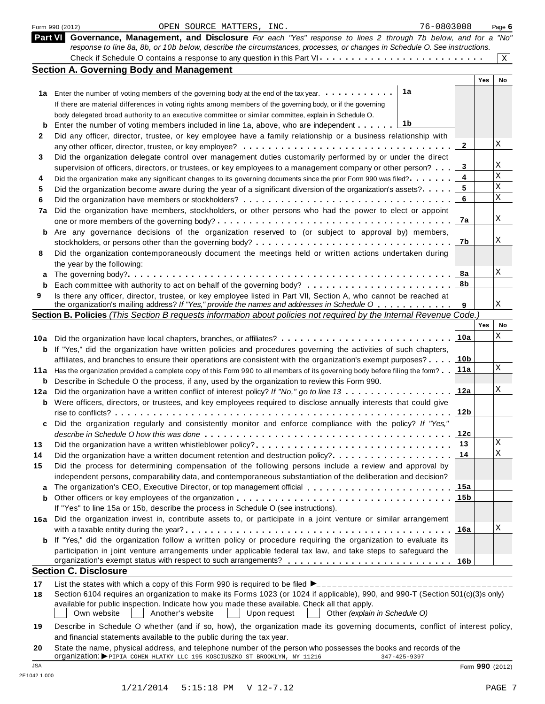|     | OPEN SOURCE MATTERS, INC.<br>76-0803008<br>Form 990 (2012)                                                                                                                                                           |                 |     | Page 6      |
|-----|----------------------------------------------------------------------------------------------------------------------------------------------------------------------------------------------------------------------|-----------------|-----|-------------|
|     | Part VI Governance, Management, and Disclosure For each "Yes" response to lines 2 through 7b below, and for a "No"                                                                                                   |                 |     |             |
|     | response to line 8a, 8b, or 10b below, describe the circumstances, processes, or changes in Schedule O. See instructions.                                                                                            |                 |     |             |
|     | Check if Schedule O contains a response to any question in this Part VI                                                                                                                                              |                 |     | $\mathbf X$ |
|     | <b>Section A. Governing Body and Management</b>                                                                                                                                                                      |                 | Yes | No          |
|     | 1a                                                                                                                                                                                                                   |                 |     |             |
|     | 1a Enter the number of voting members of the governing body at the end of the tax year.                                                                                                                              |                 |     |             |
|     | If there are material differences in voting rights among members of the governing body, or if the governing<br>body delegated broad authority to an executive committee or similar committee, explain in Schedule O. |                 |     |             |
| b   | 1b<br>Enter the number of voting members included in line 1a, above, who are independent                                                                                                                             |                 |     |             |
| 2   | Did any officer, director, trustee, or key employee have a family relationship or a business relationship with                                                                                                       |                 |     |             |
|     |                                                                                                                                                                                                                      | $\mathbf{2}$    |     | Χ           |
| 3   | Did the organization delegate control over management duties customarily performed by or under the direct                                                                                                            |                 |     |             |
|     | supervision of officers, directors, or trustees, or key employees to a management company or other person?                                                                                                           | 3               |     | Χ           |
| 4   | Did the organization make any significant changes to its governing documents since the prior Form 990 was filed?                                                                                                     | 4               |     | Χ           |
| 5   | Did the organization become aware during the year of a significant diversion of the organization's assets?.                                                                                                          | 5               |     | $\mathbf X$ |
| 6   |                                                                                                                                                                                                                      | 6               |     | $\mathbf X$ |
| 7a  | Did the organization have members, stockholders, or other persons who had the power to elect or appoint                                                                                                              |                 |     |             |
|     |                                                                                                                                                                                                                      | 7a              |     | Χ           |
| b   | Are any governance decisions of the organization reserved to (or subject to approval by) members,                                                                                                                    | 7b              |     | Χ           |
|     |                                                                                                                                                                                                                      |                 |     |             |
| 8   | Did the organization contemporaneously document the meetings held or written actions undertaken during                                                                                                               |                 |     |             |
| a   | the year by the following:                                                                                                                                                                                           | 8a              |     | Χ           |
| b   |                                                                                                                                                                                                                      | 8b              |     |             |
| 9   | Is there any officer, director, trustee, or key employee listed in Part VII, Section A, who cannot be reached at                                                                                                     |                 |     |             |
|     | the organization's mailing address? If "Yes," provide the names and addresses in Schedule O                                                                                                                          | 9               |     | Χ           |
|     | Section B. Policies (This Section B requests information about policies not required by the Internal Revenue Code.)                                                                                                  |                 |     |             |
|     |                                                                                                                                                                                                                      |                 | Yes | No          |
|     | 10a Did the organization have local chapters, branches, or affiliates?                                                                                                                                               | 10a             |     | Χ           |
| b   | If "Yes," did the organization have written policies and procedures governing the activities of such chapters,                                                                                                       |                 |     |             |
|     | affiliates, and branches to ensure their operations are consistent with the organization's exempt purposes?                                                                                                          | 10 <sub>b</sub> |     |             |
| 11a | Has the organization provided a complete copy of this Form 990 to all members of its governing body before filing the form?                                                                                          | 11a             |     | Χ           |
| b   | Describe in Schedule O the process, if any, used by the organization to review this Form 990.                                                                                                                        |                 |     | Χ           |
| 12a | Did the organization have a written conflict of interest policy? If "No," go to line 13                                                                                                                              | 12a             |     |             |
| b   | Were officers, directors, or trustees, and key employees required to disclose annually interests that could give                                                                                                     | 12 <sub>b</sub> |     |             |
|     | Did the organization regularly and consistently monitor and enforce compliance with the policy? If "Yes,"                                                                                                            |                 |     |             |
| c   |                                                                                                                                                                                                                      | 12c             |     |             |
| 13  |                                                                                                                                                                                                                      | 13              |     | Χ           |
| 14  | Did the organization have a written document retention and destruction policy?                                                                                                                                       | 14              |     | Χ           |
| 15  | Did the process for determining compensation of the following persons include a review and approval by                                                                                                               |                 |     |             |
|     | independent persons, comparability data, and contemporaneous substantiation of the deliberation and decision?                                                                                                        |                 |     |             |
| a   | The organization's CEO, Executive Director, or top management official                                                                                                                                               | 15a             |     |             |
| b   |                                                                                                                                                                                                                      | 15b             |     |             |
|     | If "Yes" to line 15a or 15b, describe the process in Schedule O (see instructions).                                                                                                                                  |                 |     |             |
| 16a | Did the organization invest in, contribute assets to, or participate in a joint venture or similar arrangement                                                                                                       |                 |     |             |
|     |                                                                                                                                                                                                                      | 16a             |     | Χ           |
| b   | If "Yes," did the organization follow a written policy or procedure requiring the organization to evaluate its                                                                                                       |                 |     |             |
|     | participation in joint venture arrangements under applicable federal tax law, and take steps to safeguard the                                                                                                        |                 |     |             |
|     | <b>Section C. Disclosure</b>                                                                                                                                                                                         |                 |     |             |
| 17  |                                                                                                                                                                                                                      |                 |     |             |
| 18  | Section 6104 requires an organization to make its Forms 1023 (or 1024 if applicable), 990, and 990-T (Section 501(c)(3)s only)                                                                                       |                 |     |             |
|     | available for public inspection. Indicate how you made these available. Check all that apply.<br>Own website<br>Another's website<br>Other (explain in Schedule O)<br>Upon request                                   |                 |     |             |
| 19  | Describe in Schedule O whether (and if so, how), the organization made its governing documents, conflict of interest policy,<br>and financial statements available to the public during the tax year.                |                 |     |             |
| 20  | State the name, physical address, and telephone number of the person who possesses the books and records of the<br>Organization: > PIPIA COHEN HLATKY LLC 195 KOSCIUSZKO ST BROOKLYN, NY 11216<br>347-425-9397       |                 |     |             |
|     |                                                                                                                                                                                                                      |                 |     |             |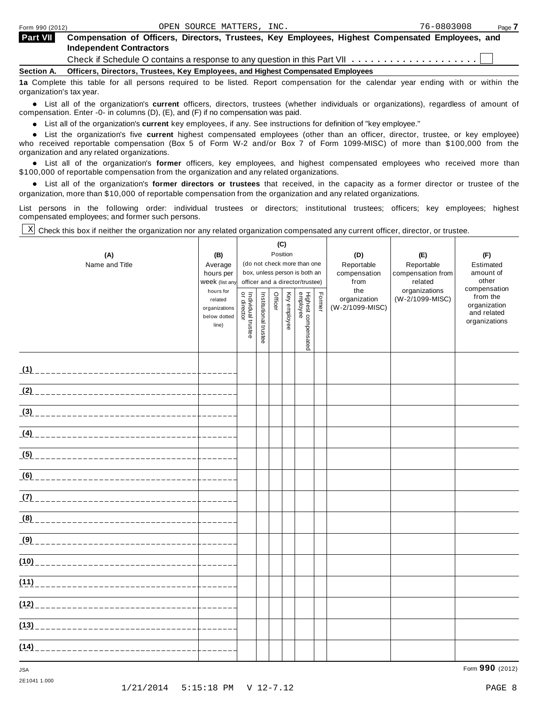| Form 990 (2012) |  |
|-----------------|--|
|-----------------|--|

| Part VII Compensation of Officers, Directors, Trustees, Key Employees, Highest Compensated Employees, and |  |  |  |
|-----------------------------------------------------------------------------------------------------------|--|--|--|
| <b>Independent Contractors</b>                                                                            |  |  |  |

Check if Schedule <sup>O</sup> contains <sup>a</sup> response to any question in this Part VII m m m m m m m m m m m m m m m m m m m m

**Section A. Officers, Directors, Trustees, Key Employees, and Highest Compensated Employees**

**1a** Complete this table for all persons required to be listed. Report compensation for the calendar year ending with or within the organization's tax year.

anization's lax year.<br>● List all of the organization's **current** officers, directors, trustees (whether individuals or organizations), regardless of amount of<br>pensation Enter -0- in columns (D) (E) and (E) if no compensat compensation. Enter -0- in columns (D), (E), and (F) if no compensation was paid.

% List all of the organization's **current** key employees, if any. See instructions for definition of "key employee."

List all of the organization's **current** highest compensated employees (other than an officer, director, trustee, or key employee)<br>List the organization's five **current** highest compensated employees (other than an officer who received reportable compensation (Box 5 of Form W-2 and/or Box 7 of Form 1099-MISC) of more than \$100,000 from the

organization and any related organizations.<br>• List all of the organization's **former** officers, key employees, and highest compensated employees who received more than<br>\$1.00.000 of reportable componention from the erganiza \$100,000 of reportable compensation from the organization and any related organizations.

% List all of the organization's **former directors or trustees** that received, in the capacity as a former director or trustee of the organization, more than \$10,000 of reportable compensation from the organization and any related organizations.

List persons in the following order: individual trustees or directors; institutional trustees; officers; key employees; highest compensated employees; and former such persons.

Check this box if neither the organization nor any related organization compensated any current officer, director, or trustee. X

| (A)                                          | (B)                                               | (C)<br>Position                                                                                 |                       |         |              |                                 |        | (D)                             | (E)                             | (F)                                                      |
|----------------------------------------------|---------------------------------------------------|-------------------------------------------------------------------------------------------------|-----------------------|---------|--------------|---------------------------------|--------|---------------------------------|---------------------------------|----------------------------------------------------------|
| Name and Title                               | Average<br>hours per                              | (do not check more than one<br>box, unless person is both an<br>officer and a director/trustee) |                       |         |              |                                 |        | Reportable<br>compensation      | Reportable<br>compensation from | Estimated<br>amount of                                   |
|                                              | Week (list any<br>hours for                       |                                                                                                 |                       |         |              |                                 |        | from<br>the                     | related<br>organizations        | other<br>compensation                                    |
|                                              | related<br>organizations<br>below dotted<br>line) | or directo<br>Individual trustee                                                                | Institutional trustee | Officer | Key employee | Highest compensated<br>employee | Former | organization<br>(W-2/1099-MISC) | (W-2/1099-MISC)                 | from the<br>organization<br>and related<br>organizations |
|                                              |                                                   |                                                                                                 |                       |         |              |                                 |        |                                 |                                 |                                                          |
| <u>(2) _________________________________</u> |                                                   |                                                                                                 |                       |         |              |                                 |        |                                 |                                 |                                                          |
|                                              |                                                   |                                                                                                 |                       |         |              |                                 |        |                                 |                                 |                                                          |
|                                              |                                                   |                                                                                                 |                       |         |              |                                 |        |                                 |                                 |                                                          |
|                                              |                                                   |                                                                                                 |                       |         |              |                                 |        |                                 |                                 |                                                          |
|                                              |                                                   |                                                                                                 |                       |         |              |                                 |        |                                 |                                 |                                                          |
|                                              |                                                   |                                                                                                 |                       |         |              |                                 |        |                                 |                                 |                                                          |
|                                              |                                                   |                                                                                                 |                       |         |              |                                 |        |                                 |                                 |                                                          |
| <u>(9) _________________________________</u> |                                                   |                                                                                                 |                       |         |              |                                 |        |                                 |                                 |                                                          |
|                                              |                                                   |                                                                                                 |                       |         |              |                                 |        |                                 |                                 |                                                          |
|                                              |                                                   |                                                                                                 |                       |         |              |                                 |        |                                 |                                 |                                                          |
|                                              |                                                   |                                                                                                 |                       |         |              |                                 |        |                                 |                                 |                                                          |
|                                              | $- - - - - -$                                     |                                                                                                 |                       |         |              |                                 |        |                                 |                                 |                                                          |
|                                              |                                                   |                                                                                                 |                       |         |              |                                 |        |                                 |                                 |                                                          |

2E1041 1.000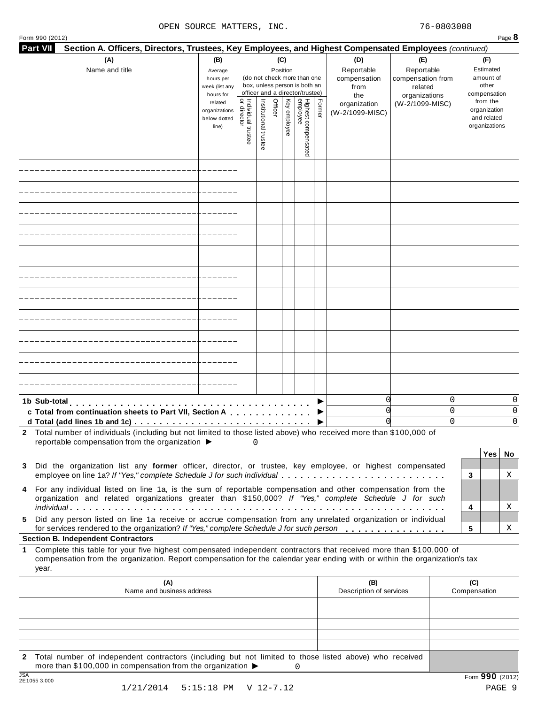| ۰, |
|----|

| Form 990 (2012)<br><b>Part VII</b><br>Section A. Officers, Directors, Trustees, Key Employees, and Highest Compensated Employees (continued)                                                                                                                                                                |                                                            |                                   |                       |                 |              |                                                                                                 |        |                                                  |                                                                    |                                                          | Page 8      |
|-------------------------------------------------------------------------------------------------------------------------------------------------------------------------------------------------------------------------------------------------------------------------------------------------------------|------------------------------------------------------------|-----------------------------------|-----------------------|-----------------|--------------|-------------------------------------------------------------------------------------------------|--------|--------------------------------------------------|--------------------------------------------------------------------|----------------------------------------------------------|-------------|
| (A)<br>Name and title                                                                                                                                                                                                                                                                                       | (B)<br>Average<br>hours per<br>week (list any<br>hours for |                                   |                       | (C)<br>Position |              | (do not check more than one<br>box, unless person is both an<br>officer and a director/trustee) |        | (D)<br>Reportable<br>compensation<br>from<br>the | (E)<br>Reportable<br>compensation from<br>related<br>organizations | (F)<br>Estimated<br>amount of<br>other<br>compensation   |             |
|                                                                                                                                                                                                                                                                                                             | related<br>organizations<br>below dotted<br>line)          | Individual trustee<br>or director | Institutional trustee | Officer         | Key employee | Highest compensated<br>employee                                                                 | Former | organization<br>(W-2/1099-MISC)                  | (W-2/1099-MISC)                                                    | from the<br>organization<br>and related<br>organizations |             |
|                                                                                                                                                                                                                                                                                                             |                                                            |                                   |                       |                 |              |                                                                                                 |        |                                                  |                                                                    |                                                          |             |
|                                                                                                                                                                                                                                                                                                             |                                                            |                                   |                       |                 |              |                                                                                                 |        |                                                  |                                                                    |                                                          |             |
|                                                                                                                                                                                                                                                                                                             |                                                            |                                   |                       |                 |              |                                                                                                 |        |                                                  |                                                                    |                                                          |             |
|                                                                                                                                                                                                                                                                                                             |                                                            |                                   |                       |                 |              |                                                                                                 |        |                                                  |                                                                    |                                                          |             |
|                                                                                                                                                                                                                                                                                                             |                                                            |                                   |                       |                 |              |                                                                                                 |        |                                                  |                                                                    |                                                          |             |
|                                                                                                                                                                                                                                                                                                             |                                                            |                                   |                       |                 |              |                                                                                                 |        |                                                  |                                                                    |                                                          |             |
|                                                                                                                                                                                                                                                                                                             |                                                            |                                   |                       |                 |              |                                                                                                 |        |                                                  |                                                                    |                                                          |             |
|                                                                                                                                                                                                                                                                                                             |                                                            |                                   |                       |                 |              |                                                                                                 |        |                                                  |                                                                    |                                                          |             |
|                                                                                                                                                                                                                                                                                                             |                                                            |                                   |                       |                 |              |                                                                                                 |        |                                                  |                                                                    |                                                          |             |
|                                                                                                                                                                                                                                                                                                             |                                                            |                                   |                       |                 |              |                                                                                                 |        |                                                  |                                                                    |                                                          |             |
|                                                                                                                                                                                                                                                                                                             |                                                            |                                   |                       |                 |              |                                                                                                 |        |                                                  |                                                                    |                                                          |             |
| 1b Sub-total<br>c Total from continuation sheets to Part VII, Section A<br>d Total (add lines 1b and 1c) $\ldots \ldots \ldots \ldots \ldots \ldots \ldots \ldots \ldots \ldots \ldots$                                                                                                                     |                                                            |                                   |                       |                 |              |                                                                                                 |        | 0<br>O<br>O                                      |                                                                    | 0<br>Ω<br>0                                              | 0<br>0<br>0 |
| 2 Total number of individuals (including but not limited to those listed above) who received more than \$100,000 of<br>reportable compensation from the organization ▶                                                                                                                                      |                                                            |                                   | $\Omega$              |                 |              |                                                                                                 |        |                                                  |                                                                    |                                                          |             |
| Did the organization list any former officer, director, or trustee, key employee, or highest compensated<br>3<br>employee on line 1a? If "Yes," complete Schedule J for such individual                                                                                                                     |                                                            |                                   |                       |                 |              |                                                                                                 |        |                                                  |                                                                    | Yes<br>3                                                 | No<br>Χ     |
| 4 For any individual listed on line 1a, is the sum of reportable compensation and other compensation from the<br>organization and related organizations greater than \$150,000? If "Yes," complete Schedule J for such                                                                                      |                                                            |                                   |                       |                 |              |                                                                                                 |        |                                                  |                                                                    | 4                                                        | Χ           |
| Did any person listed on line 1a receive or accrue compensation from any unrelated organization or individual<br>5.<br>for services rendered to the organization? If "Yes," complete Schedule J for such person                                                                                             |                                                            |                                   |                       |                 |              |                                                                                                 |        |                                                  |                                                                    | 5                                                        | Χ           |
| <b>Section B. Independent Contractors</b><br>Complete this table for your five highest compensated independent contractors that received more than \$100,000 of<br>1<br>compensation from the organization. Report compensation for the calendar year ending with or within the organization's tax<br>year. |                                                            |                                   |                       |                 |              |                                                                                                 |        |                                                  |                                                                    |                                                          |             |
| (A)<br>Name and business address                                                                                                                                                                                                                                                                            |                                                            |                                   |                       |                 |              |                                                                                                 |        | (B)<br>Description of services                   |                                                                    | (C)<br>Compensation                                      |             |
|                                                                                                                                                                                                                                                                                                             |                                                            |                                   |                       |                 |              |                                                                                                 |        |                                                  |                                                                    |                                                          |             |
|                                                                                                                                                                                                                                                                                                             |                                                            |                                   |                       |                 |              |                                                                                                 |        |                                                  |                                                                    |                                                          |             |
| Total number of independent contractors (including but not limited to those listed above) who received<br>$\mathbf{2}$                                                                                                                                                                                      |                                                            |                                   |                       |                 |              |                                                                                                 |        |                                                  |                                                                    |                                                          |             |
| more than \$100,000 in compensation from the organization ▶<br>10A                                                                                                                                                                                                                                          |                                                            |                                   |                       |                 |              | 0                                                                                               |        |                                                  |                                                                    |                                                          |             |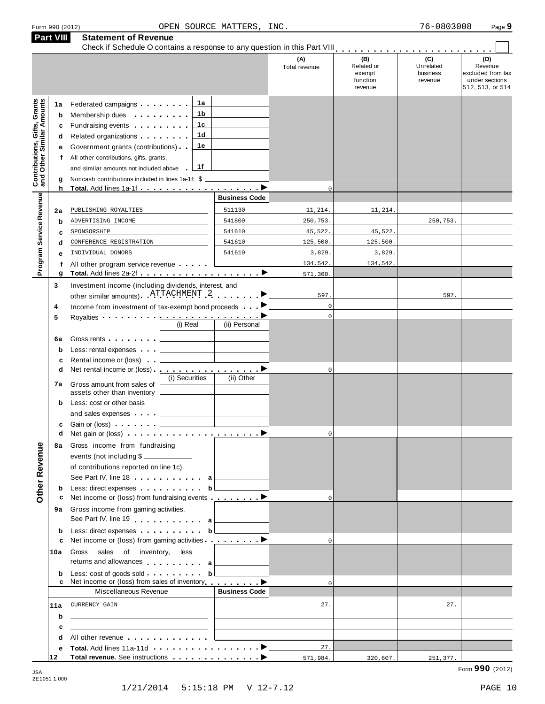|                                                                  | Part VIII                        | <b>Statement of Revenue</b><br>Check if Schedule O contains a response to any question in this Part VIII                                                                                                                                                                                                                                                                                                                                                                                                                                                |                                                                                                                        |                                                                                                                                                                                                                                      |                                    |                                                    |                                         |                                                                           |
|------------------------------------------------------------------|----------------------------------|---------------------------------------------------------------------------------------------------------------------------------------------------------------------------------------------------------------------------------------------------------------------------------------------------------------------------------------------------------------------------------------------------------------------------------------------------------------------------------------------------------------------------------------------------------|------------------------------------------------------------------------------------------------------------------------|--------------------------------------------------------------------------------------------------------------------------------------------------------------------------------------------------------------------------------------|------------------------------------|----------------------------------------------------|-----------------------------------------|---------------------------------------------------------------------------|
|                                                                  |                                  |                                                                                                                                                                                                                                                                                                                                                                                                                                                                                                                                                         |                                                                                                                        |                                                                                                                                                                                                                                      | (A)<br>Total revenue               | (B)<br>Related or<br>exempt<br>function<br>revenue | (C)<br>Unrelated<br>business<br>revenue | (D)<br>Revenue<br>excluded from tax<br>under sections<br>512, 513, or 514 |
| <b>Contributions, Gifts, Grants</b><br>and Other Similar Amounts | 1a<br>b<br>c<br>d<br>е<br>f<br>g | Federated campaigns<br>Membership dues <b>All According to the Second Term</b><br>Fundraising events <b>Fundraising</b><br>Related organizations <b>contains</b> and <b>Related</b> organizations <b>and</b> a set of the set of the set of the set of the set of the set of the set of the set of the set of the set of the set of the set of the set of the set of the<br>Government grants (contributions)<br>All other contributions, gifts, grants,<br>and similar amounts not included above<br>Noncash contributions included in lines 1a-1f: \$ | 1a<br>1 b<br>1c<br>1d<br>1е<br>1f                                                                                      |                                                                                                                                                                                                                                      |                                    |                                                    |                                         |                                                                           |
|                                                                  | h                                |                                                                                                                                                                                                                                                                                                                                                                                                                                                                                                                                                         |                                                                                                                        | <b>Business Code</b>                                                                                                                                                                                                                 | $\mathbf 0$                        |                                                    |                                         |                                                                           |
| Program Service Revenue                                          | 2a                               | PUBLISHING ROYALTIES                                                                                                                                                                                                                                                                                                                                                                                                                                                                                                                                    |                                                                                                                        | 511130                                                                                                                                                                                                                               | 11,214.                            | 11,214.                                            |                                         |                                                                           |
|                                                                  | $\mathbf b$                      | ADVERTISING INCOME                                                                                                                                                                                                                                                                                                                                                                                                                                                                                                                                      |                                                                                                                        | 541800                                                                                                                                                                                                                               | 250,753.                           |                                                    | 250,753.                                |                                                                           |
|                                                                  | c                                | SPONSORSHIP                                                                                                                                                                                                                                                                                                                                                                                                                                                                                                                                             |                                                                                                                        | 541610                                                                                                                                                                                                                               | 45,522.                            | 45,522.                                            |                                         |                                                                           |
|                                                                  | d                                | CONFERENCE REGISTRATION                                                                                                                                                                                                                                                                                                                                                                                                                                                                                                                                 |                                                                                                                        | 541610                                                                                                                                                                                                                               | 125,500.                           | 125,500.                                           |                                         |                                                                           |
|                                                                  | е                                | INDIVIDUAL DONORS                                                                                                                                                                                                                                                                                                                                                                                                                                                                                                                                       |                                                                                                                        | 541610                                                                                                                                                                                                                               | 3,829                              | 3,829                                              |                                         |                                                                           |
|                                                                  | f<br>g                           | All other program service revenue                                                                                                                                                                                                                                                                                                                                                                                                                                                                                                                       |                                                                                                                        |                                                                                                                                                                                                                                      | 134,542.<br>571,360                | 134,542.                                           |                                         |                                                                           |
|                                                                  | 3                                | Investment income (including dividends, interest, and                                                                                                                                                                                                                                                                                                                                                                                                                                                                                                   |                                                                                                                        |                                                                                                                                                                                                                                      |                                    |                                                    |                                         |                                                                           |
|                                                                  | 4<br>5                           | other similar amounts) ATTACHMENT 2<br>Income from investment of tax-exempt bond proceeds<br>Royalties <b>Example 2</b> and the set of the set of the set of the set of the set of the set of the set of the set of the set of the set of the set of the set of the set of the set of the set of the set of the set of the set o                                                                                                                                                                                                                        | (i) Real                                                                                                               | (ii) Personal                                                                                                                                                                                                                        | 597.<br>$\mathbf 0$<br>$\mathbf 0$ |                                                    | 597.                                    |                                                                           |
|                                                                  | 6a<br>$\mathbf b$<br>c           | Gross rents<br>Less: rental expenses<br>Rental income or (loss)                                                                                                                                                                                                                                                                                                                                                                                                                                                                                         |                                                                                                                        |                                                                                                                                                                                                                                      |                                    |                                                    |                                         |                                                                           |
|                                                                  | d<br>7а                          | Net rental income or (loss)<br>Gross amount from sales of                                                                                                                                                                                                                                                                                                                                                                                                                                                                                               | (i) Securities                                                                                                         | <u>.</u> D<br>(ii) Other                                                                                                                                                                                                             | $\mathbf 0$                        |                                                    |                                         |                                                                           |
|                                                                  | b                                | assets other than inventory<br>Less: cost or other basis                                                                                                                                                                                                                                                                                                                                                                                                                                                                                                |                                                                                                                        |                                                                                                                                                                                                                                      |                                    |                                                    |                                         |                                                                           |
|                                                                  | c                                | and sales expenses<br>Gain or (loss)                                                                                                                                                                                                                                                                                                                                                                                                                                                                                                                    |                                                                                                                        |                                                                                                                                                                                                                                      |                                    |                                                    |                                         |                                                                           |
|                                                                  | d                                |                                                                                                                                                                                                                                                                                                                                                                                                                                                                                                                                                         |                                                                                                                        |                                                                                                                                                                                                                                      | $\overline{0}$                     |                                                    |                                         |                                                                           |
| Other Revenue                                                    | 8а                               | Gross income from fundraising<br>events (not including \$<br>of contributions reported on line 1c).<br>See Part IV, line 18 a                                                                                                                                                                                                                                                                                                                                                                                                                           |                                                                                                                        |                                                                                                                                                                                                                                      |                                    |                                                    |                                         |                                                                           |
|                                                                  | b                                | Less: direct expenses b                                                                                                                                                                                                                                                                                                                                                                                                                                                                                                                                 |                                                                                                                        |                                                                                                                                                                                                                                      |                                    |                                                    |                                         |                                                                           |
|                                                                  | с<br>9а                          | Net income or (loss) from fundraising events ▶<br>Gross income from gaming activities.<br>See Part IV, line 19                                                                                                                                                                                                                                                                                                                                                                                                                                          |                                                                                                                        | <u> The Community of the Community of the Community of the Community of the Community of the Community of the Community of the Community of the Community of the Community of the Community of the Community of the Community of</u> |                                    |                                                    |                                         |                                                                           |
|                                                                  | b                                | Less: direct expenses b                                                                                                                                                                                                                                                                                                                                                                                                                                                                                                                                 |                                                                                                                        |                                                                                                                                                                                                                                      |                                    |                                                    |                                         |                                                                           |
|                                                                  | c<br>10a                         | Net income or (loss) from gaming activities <u></u> ▶<br>Gross sales of inventory, less                                                                                                                                                                                                                                                                                                                                                                                                                                                                 |                                                                                                                        |                                                                                                                                                                                                                                      | $\Omega$                           |                                                    |                                         |                                                                           |
|                                                                  | b                                | returns and allowances a<br>Less: cost of goods sold $\qquad \qquad \text{b} \downarrow$<br>Net income or (loss) from sales of inventory <b>example 20</b>                                                                                                                                                                                                                                                                                                                                                                                              |                                                                                                                        |                                                                                                                                                                                                                                      | $\mathbf 0$                        |                                                    |                                         |                                                                           |
|                                                                  |                                  | Miscellaneous Revenue                                                                                                                                                                                                                                                                                                                                                                                                                                                                                                                                   |                                                                                                                        | <b>Business Code</b>                                                                                                                                                                                                                 |                                    |                                                    |                                         |                                                                           |
|                                                                  | 11a                              | CURRENCY GAIN                                                                                                                                                                                                                                                                                                                                                                                                                                                                                                                                           | <u> 1989 - Johann John Stone, mars et al. 1989 - John Stone, mars et al. 1989 - John Stone, mars et al. 1989 - Joh</u> |                                                                                                                                                                                                                                      | 27.                                |                                                    | 27.                                     |                                                                           |
|                                                                  | b                                | <u> 1989 - Johann Stein, mars et al. (b. 1989)</u>                                                                                                                                                                                                                                                                                                                                                                                                                                                                                                      |                                                                                                                        |                                                                                                                                                                                                                                      |                                    |                                                    |                                         |                                                                           |
|                                                                  | c                                | <u> 1989 - Johann Stein, mars an deutscher Stein und der Stein und der Stein und der Stein und der Stein und der</u>                                                                                                                                                                                                                                                                                                                                                                                                                                    |                                                                                                                        |                                                                                                                                                                                                                                      |                                    |                                                    |                                         |                                                                           |
|                                                                  | d                                | All other revenue entitled and the control of the control of the control of the control of the control of the control of the control of the control of the control of the control of the control of the control of the control                                                                                                                                                                                                                                                                                                                          |                                                                                                                        |                                                                                                                                                                                                                                      |                                    |                                                    |                                         |                                                                           |
|                                                                  | е                                |                                                                                                                                                                                                                                                                                                                                                                                                                                                                                                                                                         |                                                                                                                        |                                                                                                                                                                                                                                      | 27.                                |                                                    |                                         |                                                                           |
|                                                                  | 12                               |                                                                                                                                                                                                                                                                                                                                                                                                                                                                                                                                                         |                                                                                                                        |                                                                                                                                                                                                                                      | 571,984.                           | 320,607.                                           | 251,377.                                |                                                                           |

2E1051 1.000

Form **990** (2012) JSA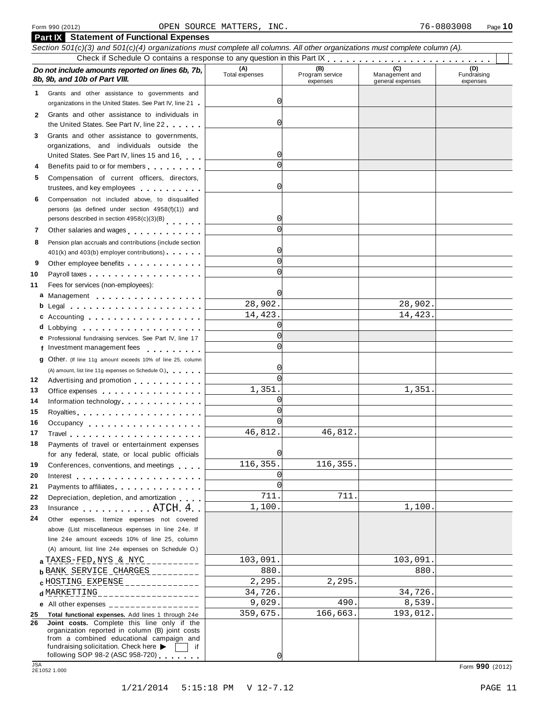| <b>Part IX</b> Statement of Functional Expenses                                                                                                                                                                                                                                                                                                                                               |                       |                                    |                                           |                                |
|-----------------------------------------------------------------------------------------------------------------------------------------------------------------------------------------------------------------------------------------------------------------------------------------------------------------------------------------------------------------------------------------------|-----------------------|------------------------------------|-------------------------------------------|--------------------------------|
| Section 501(c)(3) and 501(c)(4) organizations must complete all columns. All other organizations must complete column (A).                                                                                                                                                                                                                                                                    |                       |                                    |                                           |                                |
|                                                                                                                                                                                                                                                                                                                                                                                               |                       |                                    |                                           |                                |
| Do not include amounts reported on lines 6b, 7b,<br>8b, 9b, and 10b of Part VIII.                                                                                                                                                                                                                                                                                                             | (A)<br>Total expenses | (B)<br>Program service<br>expenses | (C)<br>Management and<br>general expenses | (D)<br>Fundraising<br>expenses |
| Grants and other assistance to governments and<br>1.<br>organizations in the United States. See Part IV, line 21                                                                                                                                                                                                                                                                              | 0                     |                                    |                                           |                                |
| Grants and other assistance to individuals in<br>2                                                                                                                                                                                                                                                                                                                                            | 0                     |                                    |                                           |                                |
| the United States. See Part IV, line 22<br>Grants and other assistance to governments,<br>3                                                                                                                                                                                                                                                                                                   |                       |                                    |                                           |                                |
| organizations, and individuals outside the                                                                                                                                                                                                                                                                                                                                                    |                       |                                    |                                           |                                |
| United States. See Part IV, lines 15 and 16                                                                                                                                                                                                                                                                                                                                                   | 0<br>$\Omega$         |                                    |                                           |                                |
| Benefits paid to or for members<br>4<br>Compensation of current officers, directors,<br>5                                                                                                                                                                                                                                                                                                     |                       |                                    |                                           |                                |
| trustees, and key employees expressed as a state of the state of the state of the state of the state of the state of the state of the state of the state of the state of the state of the state of the state of the state of t                                                                                                                                                                | 0                     |                                    |                                           |                                |
| Compensation not included above, to disqualified<br>6                                                                                                                                                                                                                                                                                                                                         |                       |                                    |                                           |                                |
| persons (as defined under section 4958(f)(1)) and<br>persons described in section 4958(c)(3)(B)                                                                                                                                                                                                                                                                                               | 0                     |                                    |                                           |                                |
| Other salaries and wages<br>7                                                                                                                                                                                                                                                                                                                                                                 | $\Omega$              |                                    |                                           |                                |
| Pension plan accruals and contributions (include section<br>8                                                                                                                                                                                                                                                                                                                                 |                       |                                    |                                           |                                |
| 401(k) and 403(b) employer contributions)                                                                                                                                                                                                                                                                                                                                                     | 0                     |                                    |                                           |                                |
| 9                                                                                                                                                                                                                                                                                                                                                                                             | $\Omega$              |                                    |                                           |                                |
| 10                                                                                                                                                                                                                                                                                                                                                                                            | $\Omega$              |                                    |                                           |                                |
| Fees for services (non-employees):<br>11                                                                                                                                                                                                                                                                                                                                                      |                       |                                    |                                           |                                |
| a Management                                                                                                                                                                                                                                                                                                                                                                                  | 0<br>28,902.          |                                    | 28,902.                                   |                                |
| $\mathbf b$ Legal $\mathbf a$ , $\mathbf a$ , $\mathbf a$ , $\mathbf a$ , $\mathbf a$ , $\mathbf a$ , $\mathbf a$ , $\mathbf a$ , $\mathbf a$ , $\mathbf a$ , $\mathbf a$ , $\mathbf a$ , $\mathbf a$ , $\mathbf a$ , $\mathbf a$ , $\mathbf a$ , $\mathbf a$ , $\mathbf a$ , $\mathbf a$ , $\mathbf a$ , $\mathbf a$ , $\mathbf a$ , $\mathbf a$ , $\mathbf a$ , $\mathbf a$ , $\mathbf a$ , | 14,423.               |                                    | 14,423.                                   |                                |
| c Accounting experience and a material contract of the set of the set of the set of the set of the set of the set of the set of the set of the set of the set of the set of the set of the set of the set of the set of the se<br>d Lobbying                                                                                                                                                  | $\Omega$              |                                    |                                           |                                |
| e Professional fundraising services. See Part IV, line 17                                                                                                                                                                                                                                                                                                                                     | $\Omega$              |                                    |                                           |                                |
| f Investment management fees                                                                                                                                                                                                                                                                                                                                                                  | $\Omega$              |                                    |                                           |                                |
| <b>g</b> Other. (If line 11g amount exceeds 10% of line 25, column                                                                                                                                                                                                                                                                                                                            |                       |                                    |                                           |                                |
| (A) amount, list line 11g expenses on Schedule O.)                                                                                                                                                                                                                                                                                                                                            | 0                     |                                    |                                           |                                |
| 12<br>Advertising and promotion entitled and the state of                                                                                                                                                                                                                                                                                                                                     | $\Omega$              |                                    |                                           |                                |
| 13<br>Office expenses example and the state of the state of the state of the state of the state of the state of the state of the state of the state of the state of the state of the state of the state of the state of the state of                                                                                                                                                          | 1,351.                |                                    | 1,351.                                    |                                |
| 14<br>Information technology experience and the set of the set of the set of the set of the set of the set of the set of the set of the set of the set of the set of the set of the set of the set of the set of the set of the set                                                                                                                                                           | $\Omega$<br>$\Omega$  |                                    |                                           |                                |
|                                                                                                                                                                                                                                                                                                                                                                                               | $\Omega$              |                                    |                                           |                                |
| 16<br>Occupancy experience and the set of the set of the set of the set of the set of the set of the set of the set of the set of the set of the set of the set of the set of the set of the set of the set of the set of the set of                                                                                                                                                          | 46,812.               | 46,812.                            |                                           |                                |
| 18<br>Payments of travel or entertainment expenses                                                                                                                                                                                                                                                                                                                                            |                       |                                    |                                           |                                |
| for any federal, state, or local public officials                                                                                                                                                                                                                                                                                                                                             | 0                     |                                    |                                           |                                |
| 19<br>Conferences, conventions, and meetings                                                                                                                                                                                                                                                                                                                                                  | 116,355.              | 116,355.                           |                                           |                                |
| 20                                                                                                                                                                                                                                                                                                                                                                                            | 0                     |                                    |                                           |                                |
| 21<br>Payments to affiliates <b>Example 20</b> in the case of the case of the case of the case of the case of the case of the case of the case of the case of the case of the case of the case of the case of the case of the case of the                                                                                                                                                     | $\Omega$              |                                    |                                           |                                |
| 22<br>Depreciation, depletion, and amortization                                                                                                                                                                                                                                                                                                                                               | 711.                  | 711.                               |                                           |                                |
| Insurance ATCH 4                                                                                                                                                                                                                                                                                                                                                                              | 1,100.                |                                    | 1,100.                                    |                                |
| 24<br>Other expenses. Itemize expenses not covered                                                                                                                                                                                                                                                                                                                                            |                       |                                    |                                           |                                |
| above (List miscellaneous expenses in line 24e. If<br>line 24e amount exceeds 10% of line 25, column                                                                                                                                                                                                                                                                                          |                       |                                    |                                           |                                |
| (A) amount, list line 24e expenses on Schedule O.)                                                                                                                                                                                                                                                                                                                                            |                       |                                    |                                           |                                |
| $a$ TAXES-FED, NYS & NYC                                                                                                                                                                                                                                                                                                                                                                      | 103,091.              |                                    | 103,091.                                  |                                |
| <b>b</b> BANK SERVICE CHARGES _________                                                                                                                                                                                                                                                                                                                                                       | 880.                  |                                    | 880.                                      |                                |
| <b>c</b> HOSTING EXPENSE ______________                                                                                                                                                                                                                                                                                                                                                       | 2,295.                | 2, 295.                            |                                           |                                |
| d MARKETTING<br>________________                                                                                                                                                                                                                                                                                                                                                              | 34,726.               |                                    | 34,726.                                   |                                |
| e All other expenses __________________                                                                                                                                                                                                                                                                                                                                                       | 9,029.                | 490.                               | 8,539.                                    |                                |
| Total functional expenses. Add lines 1 through 24e<br>25                                                                                                                                                                                                                                                                                                                                      | 359,675.              | 166,663.                           | 193,012.                                  |                                |
| Joint costs. Complete this line only if the<br>26<br>organization reported in column (B) joint costs                                                                                                                                                                                                                                                                                          |                       |                                    |                                           |                                |
| from a combined educational campaign and                                                                                                                                                                                                                                                                                                                                                      |                       |                                    |                                           |                                |
| fundraising solicitation. Check here<br>if<br>following SOP 98-2 (ASC 958-720) $\overline{\phantom{1}}$                                                                                                                                                                                                                                                                                       | 0                     |                                    |                                           |                                |
| <b>JSA</b>                                                                                                                                                                                                                                                                                                                                                                                    |                       |                                    |                                           | Form 990 (2012)                |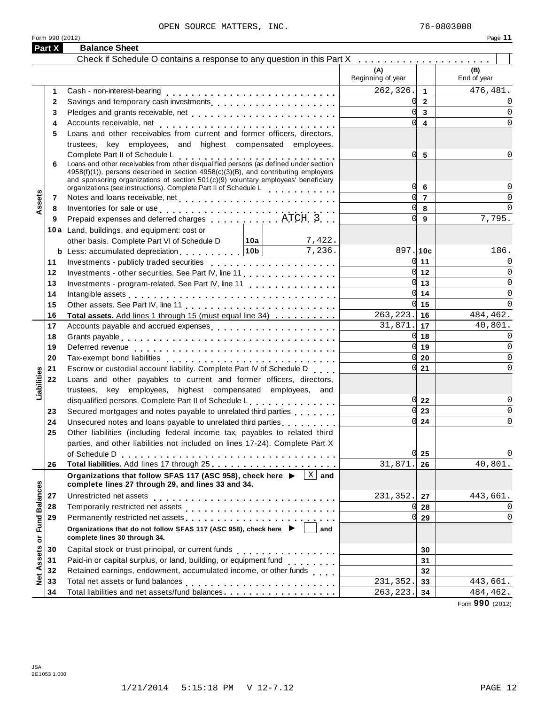|                           | Form 990 (2012) |                                                                                                                                                                                                                                |                     |                          |                     | Page 11            |
|---------------------------|-----------------|--------------------------------------------------------------------------------------------------------------------------------------------------------------------------------------------------------------------------------|---------------------|--------------------------|---------------------|--------------------|
|                           | Part X          | <b>Balance Sheet</b>                                                                                                                                                                                                           |                     |                          |                     |                    |
|                           |                 | Check if Schedule O contains a response to any question in this Part X                                                                                                                                                         |                     |                          |                     |                    |
|                           |                 |                                                                                                                                                                                                                                |                     | (A)<br>Beginning of year |                     | (B)<br>End of year |
|                           | 1               |                                                                                                                                                                                                                                |                     | 262,326.                 | $\overline{1}$      | 476,481.           |
|                           | $\mathbf{2}$    |                                                                                                                                                                                                                                |                     |                          | U<br>$\overline{2}$ | $\Omega$           |
|                           | 3               |                                                                                                                                                                                                                                |                     |                          | U<br>$\mathbf{3}$   | 0                  |
|                           | 4               |                                                                                                                                                                                                                                |                     |                          | U<br>4              | <sup>0</sup>       |
|                           | 5               | Loans and other receivables from current and former officers, directors,                                                                                                                                                       |                     |                          |                     |                    |
|                           |                 | trustees, key employees, and highest compensated employees.                                                                                                                                                                    |                     |                          |                     |                    |
|                           |                 | Complete Part II of Schedule L<br>Loans and other receivables from other disqualified persons (as defined under section                                                                                                        |                     |                          | 5<br>N              |                    |
|                           | 6               | 4958(f)(1)), persons described in section 4958(c)(3)(B), and contributing employers                                                                                                                                            |                     |                          |                     |                    |
|                           |                 | and sponsoring organizations of section $501(c)(9)$ voluntary employees' beneficiary                                                                                                                                           |                     |                          |                     |                    |
|                           |                 | organizations (see instructions). Complete Part II of Schedule Letter Part 1 and 20                                                                                                                                            |                     |                          | Ol<br>6             |                    |
| Assets                    | 7               |                                                                                                                                                                                                                                |                     |                          | U<br>$\overline{7}$ |                    |
|                           | 8               |                                                                                                                                                                                                                                |                     |                          | U<br>8              | $\Omega$           |
|                           | 9               |                                                                                                                                                                                                                                |                     |                          | 0l<br>9             | 7,795.             |
|                           |                 | 10a Land, buildings, and equipment: cost or                                                                                                                                                                                    |                     |                          |                     |                    |
|                           |                 | other basis. Complete Part VI of Schedule D   10a   7,422.                                                                                                                                                                     |                     |                          |                     |                    |
|                           |                 | <b>b</b> Less: accumulated depreciation $\begin{bmatrix} 10b \end{bmatrix}$                                                                                                                                                    | 7,236.              | 897.10c                  |                     | 186.               |
|                           | 11              |                                                                                                                                                                                                                                |                     |                          | 0l<br>11            | 0                  |
|                           | 12              | Investments - other securities. See Part IV, line 11.                                                                                                                                                                          |                     |                          | U<br>12             | 0                  |
|                           | 13              | Investments - program-related. See Part IV, line 11                                                                                                                                                                            |                     |                          | 0l<br>13            | $\Omega$           |
|                           | 14              | Intangible assets enterpreteration of the contract of the contract of the contract of the contract of the contract of the contract of the contract of the contract of the contract of the contract of the contract of the cont |                     |                          | 0l<br>14            | $\Omega$           |
|                           | 15              |                                                                                                                                                                                                                                |                     |                          | U<br>15             | $\Omega$           |
|                           | 16              | Total assets. Add lines 1 through 15 (must equal line 34)                                                                                                                                                                      |                     | $\overline{2}$ 63, 223.  | 16                  | 484,462.           |
|                           | 17              | Accounts payable and accrued expenses                                                                                                                                                                                          |                     | 31,871.                  | 17                  | 40,801.            |
|                           | 18              |                                                                                                                                                                                                                                |                     |                          | O<br>18<br>U        | $\Omega$           |
|                           | 19              |                                                                                                                                                                                                                                |                     |                          | 19<br>U             | 0<br>$\Omega$      |
|                           | 20              |                                                                                                                                                                                                                                |                     |                          | 20<br>0l            | $\Omega$           |
|                           | 21              | Escrow or custodial account liability. Complete Part IV of Schedule D                                                                                                                                                          |                     |                          | 21                  |                    |
| Liabilities               | 22              | Loans and other payables to current and former officers, directors,                                                                                                                                                            |                     |                          |                     |                    |
|                           |                 | trustees, key employees, highest compensated employees, and<br>disqualified persons. Complete Part II of Schedule L.                                                                                                           |                     |                          | 0l<br>22            | 0                  |
|                           | 23              | Secured mortgages and notes payable to unrelated third parties                                                                                                                                                                 |                     |                          | U<br>23             | $\Omega$           |
|                           | 24              | Unsecured notes and loans payable to unrelated third parties with a matter                                                                                                                                                     |                     |                          | 0l<br>24            | $\Omega$           |
|                           | 25              | Other liabilities (including federal income tax, payables to related third                                                                                                                                                     |                     |                          |                     |                    |
|                           |                 | parties, and other liabilities not included on lines 17-24). Complete Part X                                                                                                                                                   |                     |                          |                     |                    |
|                           |                 |                                                                                                                                                                                                                                |                     |                          | 25                  |                    |
|                           | 26              |                                                                                                                                                                                                                                |                     | 31,871.                  | 26                  | 40,801.            |
|                           |                 | Organizations that follow SFAS 117 (ASC 958), check here ▶                                                                                                                                                                     | $\vert x \vert$ and |                          |                     |                    |
|                           |                 | complete lines 27 through 29, and lines 33 and 34.                                                                                                                                                                             |                     |                          |                     |                    |
|                           | 27              | Unrestricted net assets                                                                                                                                                                                                        |                     | 231,352.                 | 27                  | 443,661.           |
|                           | 28              |                                                                                                                                                                                                                                |                     |                          | 28                  | 0                  |
|                           | 29              |                                                                                                                                                                                                                                |                     |                          | N<br>29             | $\Omega$           |
| <b>Fund Balances</b><br>ŏ |                 | Organizations that do not follow SFAS 117 (ASC 958), check here ▶ │ │<br>complete lines 30 through 34.                                                                                                                         | and                 |                          |                     |                    |
|                           | 30              |                                                                                                                                                                                                                                |                     |                          | 30                  |                    |
| Assets                    | 31              | Paid-in or capital surplus, or land, building, or equipment fund<br>                                                                                                                                                           |                     |                          | 31                  |                    |
|                           | 32              | Retained earnings, endowment, accumulated income, or other funds                                                                                                                                                               |                     |                          | 32                  |                    |
| Net                       | 33              |                                                                                                                                                                                                                                |                     | 231,352.                 | 33                  | 443,661.           |
|                           | 34              | Total liabilities and net assets/fund balances                                                                                                                                                                                 |                     | 263, 223.                | 34                  | 484,462.           |

Form **990** (2012)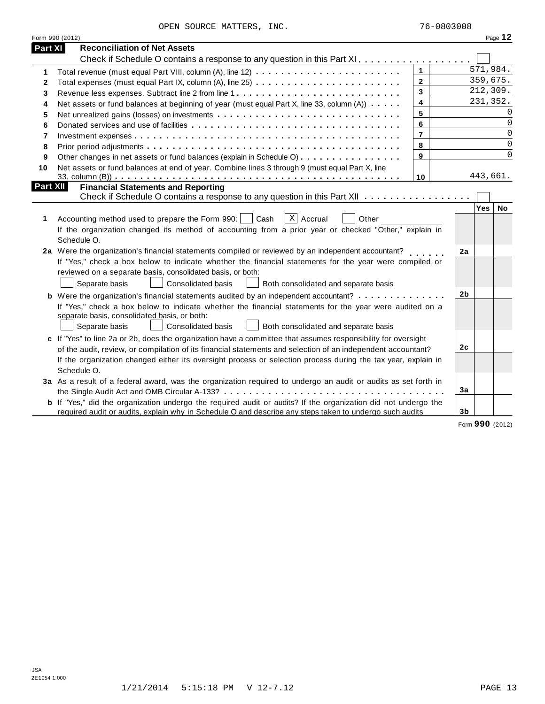|                 | Form 990 (2012)                                                                                                                                                                                                                                                                                                                                            |                         |                |          | Page 12     |
|-----------------|------------------------------------------------------------------------------------------------------------------------------------------------------------------------------------------------------------------------------------------------------------------------------------------------------------------------------------------------------------|-------------------------|----------------|----------|-------------|
| Part XI         | <b>Reconciliation of Net Assets</b>                                                                                                                                                                                                                                                                                                                        |                         |                |          |             |
|                 | Check if Schedule O contains a response to any question in this Part XI.                                                                                                                                                                                                                                                                                   |                         |                |          |             |
| 1               |                                                                                                                                                                                                                                                                                                                                                            | $\mathbf{1}$            |                | 571,984. |             |
| 2               |                                                                                                                                                                                                                                                                                                                                                            | $\overline{2}$          |                |          | 359,675.    |
| 3               |                                                                                                                                                                                                                                                                                                                                                            | 3                       |                |          | 212,309.    |
| 4               | Net assets or fund balances at beginning of year (must equal Part X, line 33, column (A))                                                                                                                                                                                                                                                                  | $\overline{\mathbf{4}}$ |                |          | 231,352.    |
| 5               |                                                                                                                                                                                                                                                                                                                                                            | 5                       |                |          | 0           |
| 6               |                                                                                                                                                                                                                                                                                                                                                            | 6                       |                |          | $\Omega$    |
| 7               |                                                                                                                                                                                                                                                                                                                                                            | $\overline{7}$          |                |          | 0           |
| 8               |                                                                                                                                                                                                                                                                                                                                                            | 8                       |                |          | $\mathbf 0$ |
| 9               | Other changes in net assets or fund balances (explain in Schedule O)                                                                                                                                                                                                                                                                                       | 9                       |                |          | $\mathbf 0$ |
| 10              | Net assets or fund balances at end of year. Combine lines 3 through 9 (must equal Part X, line                                                                                                                                                                                                                                                             |                         |                |          |             |
|                 |                                                                                                                                                                                                                                                                                                                                                            | 10                      |                | 443,661. |             |
| <b>Part XII</b> | <b>Financial Statements and Reporting</b>                                                                                                                                                                                                                                                                                                                  |                         |                |          |             |
|                 | Check if Schedule O contains a response to any question in this Part XII                                                                                                                                                                                                                                                                                   |                         |                |          |             |
| 1               | $X$ Accrual<br>Accounting method used to prepare the Form 990:  <br>Cash<br>Other<br>If the organization changed its method of accounting from a prior year or checked "Other," explain in<br>Schedule O.                                                                                                                                                  |                         |                | Yes      | No          |
|                 | 2a Were the organization's financial statements compiled or reviewed by an independent accountant?<br>If "Yes," check a box below to indicate whether the financial statements for the year were compiled or<br>reviewed on a separate basis, consolidated basis, or both:<br>Separate basis<br>Consolidated basis<br>Both consolidated and separate basis |                         | 2a             |          |             |
|                 | <b>b</b> Were the organization's financial statements audited by an independent accountant?                                                                                                                                                                                                                                                                |                         | 2 <sub>b</sub> |          |             |
|                 | If "Yes," check a box below to indicate whether the financial statements for the year were audited on a<br>separate basis, consolidated basis, or both:<br>Consolidated basis<br>Both consolidated and separate basis<br>Separate basis                                                                                                                    |                         |                |          |             |
|                 | c If "Yes" to line 2a or 2b, does the organization have a committee that assumes responsibility for oversight                                                                                                                                                                                                                                              |                         |                |          |             |
|                 | of the audit, review, or compilation of its financial statements and selection of an independent accountant?                                                                                                                                                                                                                                               |                         | 2 <sub>c</sub> |          |             |
|                 | If the organization changed either its oversight process or selection process during the tax year, explain in<br>Schedule O.                                                                                                                                                                                                                               |                         |                |          |             |
|                 | 3a As a result of a federal award, was the organization required to undergo an audit or audits as set forth in                                                                                                                                                                                                                                             |                         |                |          |             |
|                 |                                                                                                                                                                                                                                                                                                                                                            |                         | 3a             |          |             |
|                 | <b>b</b> If "Yes," did the organization undergo the required audit or audits? If the organization did not undergo the<br>required audit or audits, explain why in Schedule O and describe any steps taken to undergo such audits                                                                                                                           |                         | 3 <sub>b</sub> |          |             |

Form **990** (2012)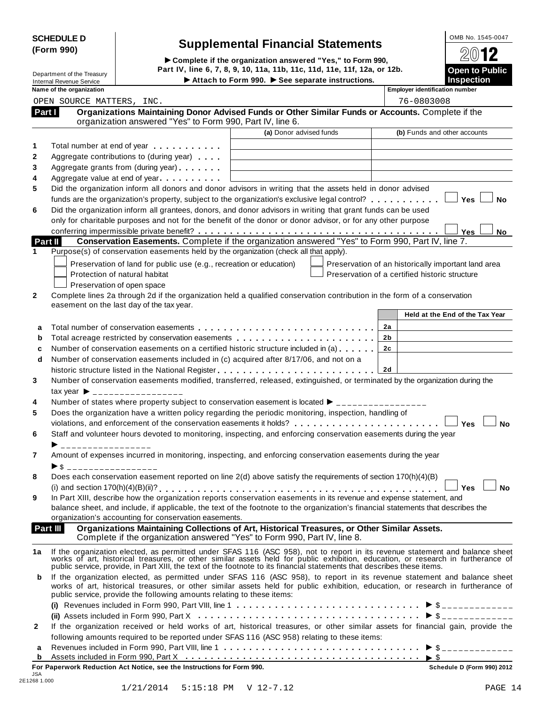| <b>SCHEDULE D</b> |  |
|-------------------|--|
| (Form 990)        |  |

# **Supplemental Financial Statements**<br> **Complete if the organization answered "Yes," to Form 990, 2012**

(Form 990)<br>  $\bullet$  Complete if the organization answered "Yes," to Form 990,<br>
Department of the Treasury Part IV, line 6, 7, 8, 9, 10, 11a, 11b, 11c, 11d, 11e, 11f, 12a, or 12b. Internal Revenue Service I**Attach to Form 990.** I**See separate instructions. Inspection**

| <b>Open to Public</b><br><b>Inspection</b> |
|--------------------------------------------|
| $20$ 12                                    |
| UMD NU. 1343-0047                          |

|              | internar i tevenae och vice<br>Name of the organization                                                                                                                                                                              |                         | <b>Employer identification number</b>               |
|--------------|--------------------------------------------------------------------------------------------------------------------------------------------------------------------------------------------------------------------------------------|-------------------------|-----------------------------------------------------|
|              | OPEN SOURCE MATTERS, INC.                                                                                                                                                                                                            |                         | 76-0803008                                          |
|              | Organizations Maintaining Donor Advised Funds or Other Similar Funds or Accounts. Complete if the<br>Part I<br>organization answered "Yes" to Form 990, Part IV, line 6.                                                             |                         |                                                     |
|              |                                                                                                                                                                                                                                      | (a) Donor advised funds | (b) Funds and other accounts                        |
| 1            | Total number at end of year example.                                                                                                                                                                                                 |                         |                                                     |
| $\mathbf 2$  | Aggregate contributions to (during year)                                                                                                                                                                                             |                         |                                                     |
| 3            | Aggregate grants from (during year)                                                                                                                                                                                                  |                         |                                                     |
| 4            | Aggregate value at end of year                                                                                                                                                                                                       |                         |                                                     |
| 5            | Did the organization inform all donors and donor advisors in writing that the assets held in donor advised                                                                                                                           |                         |                                                     |
| 6            | funds are the organization's property, subject to the organization's exclusive legal control? $\ldots \ldots \ldots$<br>Did the organization inform all grantees, donors, and donor advisors in writing that grant funds can be used |                         | Yes<br><b>No</b>                                    |
|              | only for charitable purposes and not for the benefit of the donor or donor advisor, or for any other purpose                                                                                                                         |                         |                                                     |
|              |                                                                                                                                                                                                                                      |                         | Yes<br>No                                           |
|              | Conservation Easements. Complete if the organization answered "Yes" to Form 990, Part IV, line 7.<br>Part II                                                                                                                         |                         |                                                     |
| 1            | Purpose(s) of conservation easements held by the organization (check all that apply).                                                                                                                                                |                         |                                                     |
|              | Preservation of land for public use (e.g., recreation or education)                                                                                                                                                                  |                         | Preservation of an historically important land area |
|              | Protection of natural habitat                                                                                                                                                                                                        |                         | Preservation of a certified historic structure      |
|              | Preservation of open space                                                                                                                                                                                                           |                         |                                                     |
| $\mathbf{2}$ | Complete lines 2a through 2d if the organization held a qualified conservation contribution in the form of a conservation                                                                                                            |                         |                                                     |
|              | easement on the last day of the tax year.                                                                                                                                                                                            |                         |                                                     |
|              |                                                                                                                                                                                                                                      |                         | Held at the End of the Tax Year                     |
| a            |                                                                                                                                                                                                                                      |                         | 2a                                                  |
| b            |                                                                                                                                                                                                                                      |                         | 2 <sub>b</sub>                                      |
| c            | Number of conservation easements on a certified historic structure included in (a)                                                                                                                                                   |                         | 2c                                                  |
| d            | Number of conservation easements included in (c) acquired after 8/17/06, and not on a                                                                                                                                                |                         |                                                     |
|              |                                                                                                                                                                                                                                      |                         | 2d                                                  |
| 3            | Number of conservation easements modified, transferred, released, extinguished, or terminated by the organization during the                                                                                                         |                         |                                                     |
|              | tax year $\triangleright$ __________________                                                                                                                                                                                         |                         |                                                     |
| 4            | Number of states where property subject to conservation easement is located ▶ ________________                                                                                                                                       |                         |                                                     |
| 5            | Does the organization have a written policy regarding the periodic monitoring, inspection, handling of                                                                                                                               |                         |                                                     |
|              |                                                                                                                                                                                                                                      |                         | Yes<br><b>No</b>                                    |
| 6            | Staff and volunteer hours devoted to monitoring, inspecting, and enforcing conservation easements during the year                                                                                                                    |                         |                                                     |
|              | __________________                                                                                                                                                                                                                   |                         |                                                     |
| 7            | Amount of expenses incurred in monitoring, inspecting, and enforcing conservation easements during the year                                                                                                                          |                         |                                                     |
|              | $\triangleright$ \$ ___________________                                                                                                                                                                                              |                         |                                                     |
| 8            | Does each conservation easement reported on line 2(d) above satisfy the requirements of section 170(h)(4)(B)                                                                                                                         |                         |                                                     |
|              |                                                                                                                                                                                                                                      |                         | <b>Yes</b><br>No                                    |
| 9            | In Part XIII, describe how the organization reports conservation easements in its revenue and expense statement, and                                                                                                                 |                         |                                                     |
|              | balance sheet, and include, if applicable, the text of the footnote to the organization's financial statements that describes the                                                                                                    |                         |                                                     |
|              | organization's accounting for conservation easements.                                                                                                                                                                                |                         |                                                     |
|              | Organizations Maintaining Collections of Art, Historical Treasures, or Other Similar Assets.<br>Part III<br>Complete if the organization answered "Yes" to Form 990, Part IV, line 8.                                                |                         |                                                     |
|              |                                                                                                                                                                                                                                      |                         |                                                     |
| 1a           | If the organization elected, as permitted under SFAS 116 (ASC 958), not to report in its revenue statement and balance sheet works of art, historical treasures, or other similar assets held for public exhibition, education       |                         |                                                     |
| b            | If the organization elected, as permitted under SFAS 116 (ASC 958), to report in its revenue statement and balance sheet                                                                                                             |                         |                                                     |
|              | works of art, historical treasures, or other similar assets held for public exhibition, education, or research in furtherance of                                                                                                     |                         |                                                     |
|              | public service, provide the following amounts relating to these items:                                                                                                                                                               |                         |                                                     |
|              |                                                                                                                                                                                                                                      |                         |                                                     |
|              |                                                                                                                                                                                                                                      |                         |                                                     |
| $\mathbf{2}$ | If the organization received or held works of art, historical treasures, or other similar assets for financial gain, provide the                                                                                                     |                         |                                                     |
|              | following amounts required to be reported under SFAS 116 (ASC 958) relating to these items:                                                                                                                                          |                         |                                                     |
| a            |                                                                                                                                                                                                                                      |                         |                                                     |
| b            | For Paperwork Reduction Act Notice, see the Instructions for Form 990.                                                                                                                                                               |                         | Schedule D (Form 990) 2012                          |
| JSA          |                                                                                                                                                                                                                                      |                         |                                                     |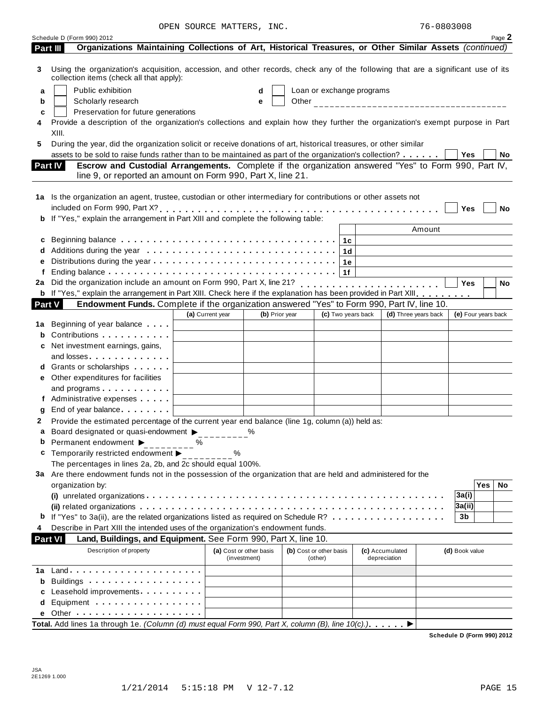|        | Schedule D (Form 990) 2012                                                                                                                                                                                                    |                  |                                         |                         |                    |     |                           |                                 |        |                     |            | Page 2 |
|--------|-------------------------------------------------------------------------------------------------------------------------------------------------------------------------------------------------------------------------------|------------------|-----------------------------------------|-------------------------|--------------------|-----|---------------------------|---------------------------------|--------|---------------------|------------|--------|
|        | Organizations Maintaining Collections of Art, Historical Treasures, or Other Similar Assets (continued)<br>Part III                                                                                                           |                  |                                         |                         |                    |     |                           |                                 |        |                     |            |        |
| 3      | Using the organization's acquisition, accession, and other records, check any of the following that are a significant use of its<br>collection items (check all that apply):                                                  |                  |                                         |                         |                    |     |                           |                                 |        |                     |            |        |
| а      | Public exhibition                                                                                                                                                                                                             |                  | d                                       |                         |                    |     | Loan or exchange programs |                                 |        |                     |            |        |
| b      | Scholarly research                                                                                                                                                                                                            |                  | e                                       |                         |                    |     |                           |                                 |        |                     |            |        |
| c      | Preservation for future generations                                                                                                                                                                                           |                  |                                         |                         |                    |     |                           |                                 |        |                     |            |        |
|        | Provide a description of the organization's collections and explain how they further the organization's exempt purpose in Part<br>XIII.                                                                                       |                  |                                         |                         |                    |     |                           |                                 |        |                     |            |        |
| 5      | During the year, did the organization solicit or receive donations of art, historical treasures, or other similar<br>assets to be sold to raise funds rather than to be maintained as part of the organization's collection?  |                  |                                         |                         |                    |     |                           |                                 |        | Yes                 |            | No     |
|        | Escrow and Custodial Arrangements. Complete if the organization answered "Yes" to Form 990, Part IV,<br><b>Part IV</b><br>line 9, or reported an amount on Form 990, Part X, line 21.                                         |                  |                                         |                         |                    |     |                           |                                 |        |                     |            |        |
|        | 1a Is the organization an agent, trustee, custodian or other intermediary for contributions or other assets not                                                                                                               |                  |                                         |                         |                    |     |                           |                                 |        |                     |            |        |
| b      | If "Yes," explain the arrangement in Part XIII and complete the following table:                                                                                                                                              |                  |                                         |                         |                    |     |                           |                                 |        | Yes                 |            | No     |
|        |                                                                                                                                                                                                                               |                  |                                         |                         |                    |     |                           |                                 | Amount |                     |            |        |
| c      |                                                                                                                                                                                                                               |                  |                                         |                         |                    | 1с. |                           |                                 |        |                     |            |        |
|        |                                                                                                                                                                                                                               |                  |                                         |                         |                    | 1d  |                           |                                 |        |                     |            |        |
|        |                                                                                                                                                                                                                               |                  |                                         |                         |                    | 1e  |                           |                                 |        |                     |            |        |
|        |                                                                                                                                                                                                                               |                  |                                         |                         |                    | 1f  |                           |                                 |        |                     |            |        |
| 2a     |                                                                                                                                                                                                                               |                  |                                         |                         |                    |     |                           |                                 |        | <b>Yes</b>          |            | No     |
|        | b If "Yes," explain the arrangement in Part XIII. Check here if the explanation has been provided in Part XIII.                                                                                                               |                  |                                         |                         |                    |     |                           |                                 |        |                     |            |        |
| Part V | Endowment Funds. Complete if the organization answered "Yes" to Form 990, Part IV, line 10.                                                                                                                                   |                  |                                         |                         |                    |     |                           |                                 |        |                     |            |        |
|        |                                                                                                                                                                                                                               | (a) Current year | (b) Prior year                          |                         | (c) Two years back |     |                           | (d) Three years back            |        | (e) Four years back |            |        |
| 1a     | Beginning of year balance                                                                                                                                                                                                     |                  |                                         |                         |                    |     |                           |                                 |        |                     |            |        |
| b      | Contributions                                                                                                                                                                                                                 |                  |                                         |                         |                    |     |                           |                                 |        |                     |            |        |
|        | c Net investment earnings, gains,                                                                                                                                                                                             |                  |                                         |                         |                    |     |                           |                                 |        |                     |            |        |
|        | and losses experiences and losses and losses and losses and the set of the set of the set of the set of the set of the set of the set of the set of the set of the set of the set of the set of the set of the set of the set |                  |                                         |                         |                    |     |                           |                                 |        |                     |            |        |
|        | Grants or scholarships                                                                                                                                                                                                        |                  |                                         |                         |                    |     |                           |                                 |        |                     |            |        |
|        | e Other expenditures for facilities                                                                                                                                                                                           |                  |                                         |                         |                    |     |                           |                                 |        |                     |            |        |
|        | and programs                                                                                                                                                                                                                  |                  |                                         |                         |                    |     |                           |                                 |        |                     |            |        |
|        | f Administrative expenses                                                                                                                                                                                                     |                  |                                         |                         |                    |     |                           |                                 |        |                     |            |        |
|        | End of year balance expansion of year balance                                                                                                                                                                                 |                  |                                         |                         |                    |     |                           |                                 |        |                     |            |        |
| 2      | Provide the estimated percentage of the current year end balance (line 1g, column (a)) held as:                                                                                                                               |                  |                                         |                         |                    |     |                           |                                 |        |                     |            |        |
|        | Board designated or quasi-endowment >                                                                                                                                                                                         |                  |                                         |                         |                    |     |                           |                                 |        |                     |            |        |
|        | Permanent endowment ▶                                                                                                                                                                                                         | ℅                |                                         |                         |                    |     |                           |                                 |        |                     |            |        |
|        | c Temporarily restricted endowment >                                                                                                                                                                                          | %                |                                         |                         |                    |     |                           |                                 |        |                     |            |        |
|        | The percentages in lines 2a, 2b, and 2c should equal 100%.                                                                                                                                                                    |                  |                                         |                         |                    |     |                           |                                 |        |                     |            |        |
|        | 3a Are there endowment funds not in the possession of the organization that are held and administered for the                                                                                                                 |                  |                                         |                         |                    |     |                           |                                 |        |                     |            |        |
|        | organization by:                                                                                                                                                                                                              |                  |                                         |                         |                    |     |                           |                                 |        |                     | <b>Yes</b> | No     |
|        |                                                                                                                                                                                                                               |                  |                                         |                         |                    |     |                           |                                 |        | 3a(i)               |            |        |
|        |                                                                                                                                                                                                                               |                  |                                         |                         |                    |     |                           |                                 |        | 3a(ii)              |            |        |
|        | If "Yes" to 3a(ii), are the related organizations listed as required on Schedule R?                                                                                                                                           |                  |                                         |                         |                    |     |                           |                                 |        | 3b                  |            |        |
|        | Describe in Part XIII the intended uses of the organization's endowment funds.                                                                                                                                                |                  |                                         |                         |                    |     |                           |                                 |        |                     |            |        |
|        | <b>Part VI</b><br>Land, Buildings, and Equipment. See Form 990, Part X, line 10.                                                                                                                                              |                  |                                         |                         |                    |     |                           |                                 |        |                     |            |        |
|        | Description of property                                                                                                                                                                                                       |                  | (a) Cost or other basis<br>(investment) | (b) Cost or other basis | (other)            |     |                           | (c) Accumulated<br>depreciation |        | (d) Book value      |            |        |
| 1a     |                                                                                                                                                                                                                               |                  |                                         |                         |                    |     |                           |                                 |        |                     |            |        |
| b      | Buildings                                                                                                                                                                                                                     |                  |                                         |                         |                    |     |                           |                                 |        |                     |            |        |
|        | Leasehold improvements <b>contained contained contained contained contained contained contained contained </b>                                                                                                                |                  |                                         |                         |                    |     |                           |                                 |        |                     |            |        |
| d      |                                                                                                                                                                                                                               |                  |                                         |                         |                    |     |                           |                                 |        |                     |            |        |
|        |                                                                                                                                                                                                                               |                  |                                         |                         |                    |     |                           |                                 |        |                     |            |        |
|        | Total. Add lines 1a through 1e. (Column (d) must equal Form 990, Part X, column (B), line 10(c).)                                                                                                                             |                  |                                         |                         |                    |     |                           | ▶                               |        |                     |            |        |

**Schedule D (Form 990) 2012**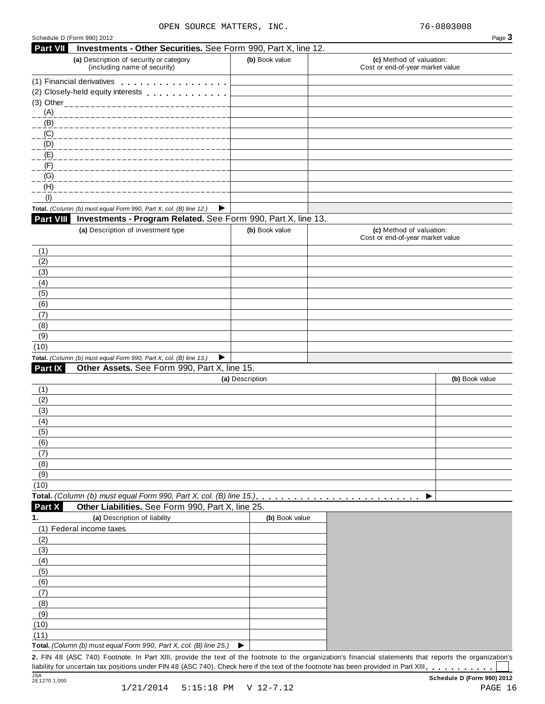|                                                                                                                                                                               |                                                                         |                 | Page 3                                                       |
|-------------------------------------------------------------------------------------------------------------------------------------------------------------------------------|-------------------------------------------------------------------------|-----------------|--------------------------------------------------------------|
| Part VII                                                                                                                                                                      | Investments - Other Securities. See Form 990, Part X, line 12.          |                 |                                                              |
|                                                                                                                                                                               | (a) Description of security or category<br>(including name of security) | (b) Book value  | (c) Method of valuation:<br>Cost or end-of-year market value |
|                                                                                                                                                                               | (1) Financial derivatives                                               |                 |                                                              |
|                                                                                                                                                                               |                                                                         |                 |                                                              |
|                                                                                                                                                                               | (3) Other__________________                                             |                 |                                                              |
| (A)                                                                                                                                                                           |                                                                         |                 |                                                              |
| (B)                                                                                                                                                                           |                                                                         |                 |                                                              |
| $\underline{(C)}$                                                                                                                                                             |                                                                         |                 |                                                              |
| (D)<br>(E)                                                                                                                                                                    |                                                                         |                 |                                                              |
| (F)                                                                                                                                                                           |                                                                         |                 |                                                              |
| (G)                                                                                                                                                                           |                                                                         |                 |                                                              |
| (H)                                                                                                                                                                           |                                                                         |                 |                                                              |
| (1)                                                                                                                                                                           |                                                                         |                 |                                                              |
|                                                                                                                                                                               | Total. (Column (b) must equal Form 990, Part X, col. (B) line 12.)<br>▶ |                 |                                                              |
| <b>Part VIII</b>                                                                                                                                                              | Investments - Program Related. See Form 990, Part X, line 13.           |                 |                                                              |
|                                                                                                                                                                               | (a) Description of investment type                                      | (b) Book value  | (c) Method of valuation:<br>Cost or end-of-year market value |
| (1)                                                                                                                                                                           |                                                                         |                 |                                                              |
| (2)<br>(3)                                                                                                                                                                    |                                                                         |                 |                                                              |
| (4)                                                                                                                                                                           |                                                                         |                 |                                                              |
| (5)                                                                                                                                                                           |                                                                         |                 |                                                              |
| (6)                                                                                                                                                                           |                                                                         |                 |                                                              |
| (7)                                                                                                                                                                           |                                                                         |                 |                                                              |
| (8)                                                                                                                                                                           |                                                                         |                 |                                                              |
| (9)                                                                                                                                                                           |                                                                         |                 |                                                              |
|                                                                                                                                                                               |                                                                         |                 |                                                              |
| (10)                                                                                                                                                                          |                                                                         |                 |                                                              |
|                                                                                                                                                                               | Total. (Column (b) must equal Form 990, Part X, col. (B) line 13.)<br>▶ |                 |                                                              |
|                                                                                                                                                                               | Other Assets. See Form 990, Part X, line 15.                            |                 |                                                              |
|                                                                                                                                                                               |                                                                         | (a) Description | (b) Book value                                               |
|                                                                                                                                                                               |                                                                         |                 |                                                              |
|                                                                                                                                                                               |                                                                         |                 |                                                              |
|                                                                                                                                                                               |                                                                         |                 |                                                              |
|                                                                                                                                                                               |                                                                         |                 |                                                              |
|                                                                                                                                                                               |                                                                         |                 |                                                              |
|                                                                                                                                                                               |                                                                         |                 |                                                              |
|                                                                                                                                                                               |                                                                         |                 |                                                              |
|                                                                                                                                                                               |                                                                         |                 |                                                              |
|                                                                                                                                                                               |                                                                         |                 |                                                              |
|                                                                                                                                                                               | Total. (Column (b) must equal Form 990, Part X, col. (B) line 15.)      |                 | ▶                                                            |
|                                                                                                                                                                               | Other Liabilities. See Form 990, Part X, line 25.                       |                 |                                                              |
|                                                                                                                                                                               | (a) Description of liability                                            | (b) Book value  |                                                              |
|                                                                                                                                                                               | (1) Federal income taxes                                                |                 |                                                              |
|                                                                                                                                                                               |                                                                         |                 |                                                              |
|                                                                                                                                                                               |                                                                         |                 |                                                              |
|                                                                                                                                                                               |                                                                         |                 |                                                              |
|                                                                                                                                                                               |                                                                         |                 |                                                              |
|                                                                                                                                                                               |                                                                         |                 |                                                              |
|                                                                                                                                                                               |                                                                         |                 |                                                              |
|                                                                                                                                                                               |                                                                         |                 |                                                              |
|                                                                                                                                                                               |                                                                         |                 |                                                              |
| <b>Part IX</b><br>(1)<br>(2)<br>(3)<br>(4)<br>(5)<br>(6)<br>(7)<br>(8)<br>(9)<br>(10)<br>Part X<br>1.<br>(2)<br>(3)<br>(4)<br>(5)<br>(6)<br>(7)<br>(8)<br>(9)<br>(10)<br>(11) |                                                                         |                 |                                                              |

liability for uncertain tax positions under FIN 48 (ASC 740). Check here if the text of the footnote has been provided in Part XIII SCH SCHED (Form 990) 2012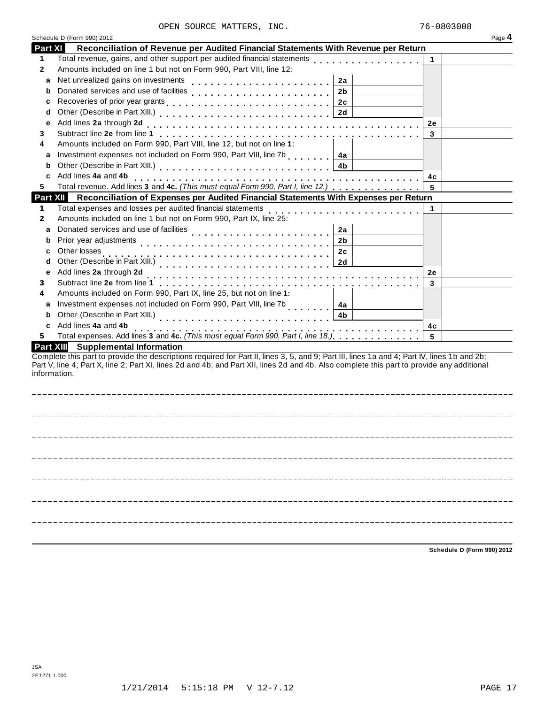|                | Schedule D (Form 990) 2012                                                                                                                                                                                                                                                                                |    | Page 4 |
|----------------|-----------------------------------------------------------------------------------------------------------------------------------------------------------------------------------------------------------------------------------------------------------------------------------------------------------|----|--------|
| <b>Part XI</b> | Reconciliation of Revenue per Audited Financial Statements With Revenue per Return                                                                                                                                                                                                                        |    |        |
| 1.             | Total revenue, gains, and other support per audited financial statements<br>Total revenue, gains, and other support per audited financial statements                                                                                                                                                      | 1  |        |
| 2              | Amounts included on line 1 but not on Form 990, Part VIII, line 12:                                                                                                                                                                                                                                       |    |        |
| а              | Net unrealized gains on investments<br>2a                                                                                                                                                                                                                                                                 |    |        |
| b              | Donated services and use of facilities<br>2 <sub>b</sub>                                                                                                                                                                                                                                                  |    |        |
| с              | 2c                                                                                                                                                                                                                                                                                                        |    |        |
| d              | 2d                                                                                                                                                                                                                                                                                                        |    |        |
| e              | Add lines 2a through 2d                                                                                                                                                                                                                                                                                   | 2e |        |
| 3              |                                                                                                                                                                                                                                                                                                           | 3  |        |
| 4              | Amounts included on Form 990, Part VIII, line 12, but not on line 1:                                                                                                                                                                                                                                      |    |        |
| a              | Investment expenses not included on Form 990, Part VIII, line 7b<br>4a                                                                                                                                                                                                                                    |    |        |
| b              | 4b                                                                                                                                                                                                                                                                                                        |    |        |
|                | Add lines 4a and 4b                                                                                                                                                                                                                                                                                       | 4c |        |
| 5              | Total revenue. Add lines 3 and 4c. (This must equal Form 990, Part I, line 12.)                                                                                                                                                                                                                           | 5  |        |
|                | Part XII Reconciliation of Expenses per Audited Financial Statements With Expenses per Return                                                                                                                                                                                                             |    |        |
| 1              | Total expenses and losses per audited financial statements                                                                                                                                                                                                                                                |    |        |
| 2              | Amounts included on line 1 but not on Form 990, Part IX, line 25:                                                                                                                                                                                                                                         |    |        |
| a              | 2a                                                                                                                                                                                                                                                                                                        |    |        |
| b              | 2 <sub>b</sub>                                                                                                                                                                                                                                                                                            |    |        |
|                | Other losses<br>2c                                                                                                                                                                                                                                                                                        |    |        |
| d              | 2d                                                                                                                                                                                                                                                                                                        |    |        |
| е              | Add lines 2a through 2d                                                                                                                                                                                                                                                                                   | 2e |        |
| 3              |                                                                                                                                                                                                                                                                                                           | 3  |        |
| 4              | Amounts included on Form 990, Part IX, line 25, but not on line 1:                                                                                                                                                                                                                                        |    |        |
| a              | Investment expenses not included on Form 990, Part VIII, line 7b<br>4a                                                                                                                                                                                                                                    |    |        |
| b              | Other (Describe in Part XIII.)<br>4b                                                                                                                                                                                                                                                                      |    |        |
|                | Add lines 4a and 4b                                                                                                                                                                                                                                                                                       | 4c |        |
| 5              | Total expenses. Add lines 3 and 4c. (This must equal Form 990, Part I, line 18.)                                                                                                                                                                                                                          | 5  |        |
|                | Part XIII Supplemental Information                                                                                                                                                                                                                                                                        |    |        |
|                | Complete this part to provide the descriptions required for Part II, lines 3, 5, and 9; Part III, lines 1a and 4; Part IV, lines 1b and 2b;<br>Part V, line 4; Part X, line 2; Part XI, lines 2d and 4b; and Part XII, lines 2d and 4b. Also complete this part to provide any additional<br>information. |    |        |
|                |                                                                                                                                                                                                                                                                                                           |    |        |
|                |                                                                                                                                                                                                                                                                                                           |    |        |
|                |                                                                                                                                                                                                                                                                                                           |    |        |
|                |                                                                                                                                                                                                                                                                                                           |    |        |
|                |                                                                                                                                                                                                                                                                                                           |    |        |
|                |                                                                                                                                                                                                                                                                                                           |    |        |
|                |                                                                                                                                                                                                                                                                                                           |    |        |

**Schedule D (Form 990) 2012**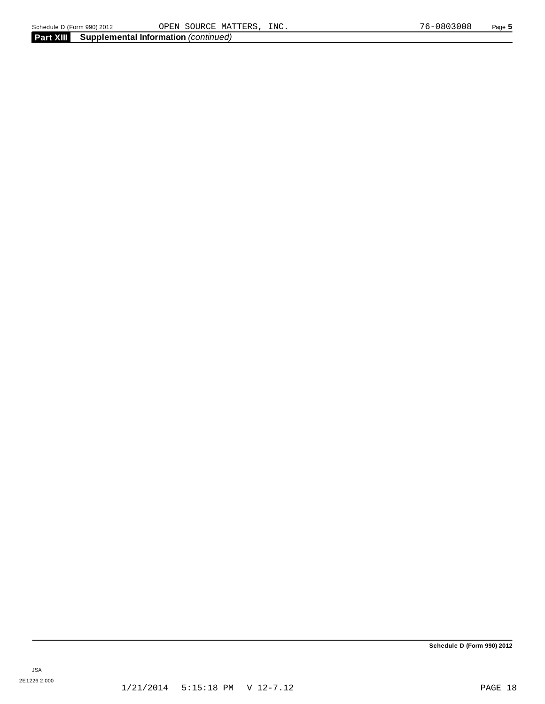**Schedule D (Form 990) 2012**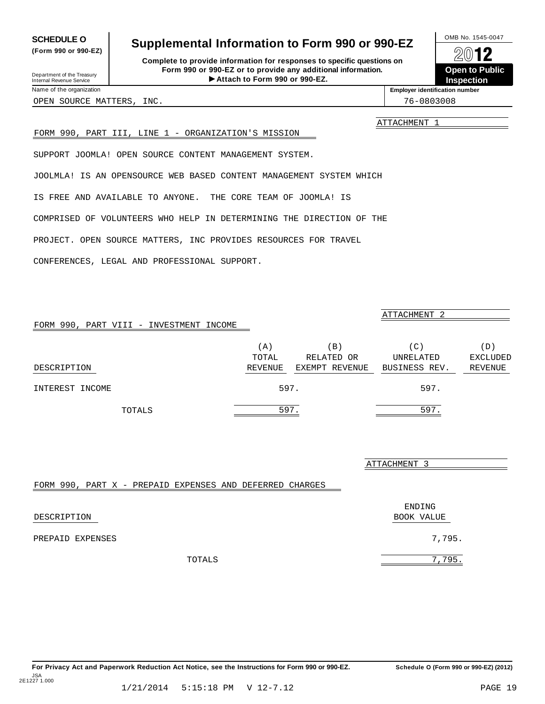For Privacy Act and Paperwork Reduction Act Notice, see the Instructions for Form 990 or 990-EZ. Schedule O (Form 990 or 990-EZ) (2012) JSA 2E1227 1.000

## <span id="page-17-0"></span>**SCHEDULE O** Supplemental Information to Form 990 or 990-EZ  $\left\lvert \frac{\text{OMB No. 1545-0047}}{\text{OMB No. 1545-0047}} \right\rgroup$

**Complete to provide information for responses to specific questions on Form 990 or 990-EZ or to provide any additional information.** Fraction of the **Formation of the COV of the COV of the COV**<br>
10-EZ or to provide any additional information.<br>
Attach to Form 990 or 990-EZ.<br>
Attach to Form 990 or 990-EZ. Department of the Treasury Internal Revenue Service I

**Open to Public Inspection**

**(Form 990 or 990-EZ)**

OPEN SOURCE MATTERS, INC. THE SOURCE OPEN SOURCE MATTERS, INC.

ATTACHMENT 1

#### FORM 990, PART III, LINE 1 - ORGANIZATION'S MISSION

SUPPORT JOOMLA! OPEN SOURCE CONTENT MANAGEMENT SYSTEM.

JOOLMLA! IS AN OPENSOURCE WEB BASED CONTENT MANAGEMENT SYSTEM WHICH

IS FREE AND AVAILABLE TO ANYONE. THE CORE TEAM OF JOOMLA! IS

COMPRISED OF VOLUNTEERS WHO HELP IN DETERMINING THE DIRECTION OF THE

PROJECT. OPEN SOURCE MATTERS, INC PROVIDES RESOURCES FOR TRAVEL

CONFERENCES, LEGAL AND PROFESSIONAL SUPPORT.

|                                         |         |                | ATTACHMENT 2  |                 |
|-----------------------------------------|---------|----------------|---------------|-----------------|
| FORM 990, PART VIII - INVESTMENT INCOME |         |                |               |                 |
|                                         | (A)     | B)             | (C)           | (D)             |
|                                         | TOTAL   | RELATED OR     | UNRELATED     | <b>EXCLUDED</b> |
| DESCRIPTION                             | REVENUE | EXEMPT REVENUE | BUSINESS REV. | REVENUE         |
| INTEREST INCOME                         |         | 597.           | 597.          |                 |
| TOTALS                                  |         | 597.           | 597.          |                 |

ATTACHMENT 3

### FORM 990, PART X - PREPAID EXPENSES AND DEFERRED CHARGES

|                  | ENDING     |
|------------------|------------|
| DESCRIPTION      | BOOK VALUE |
| PREPAID EXPENSES | 7,795.     |
| TOTALS           | 7,795.     |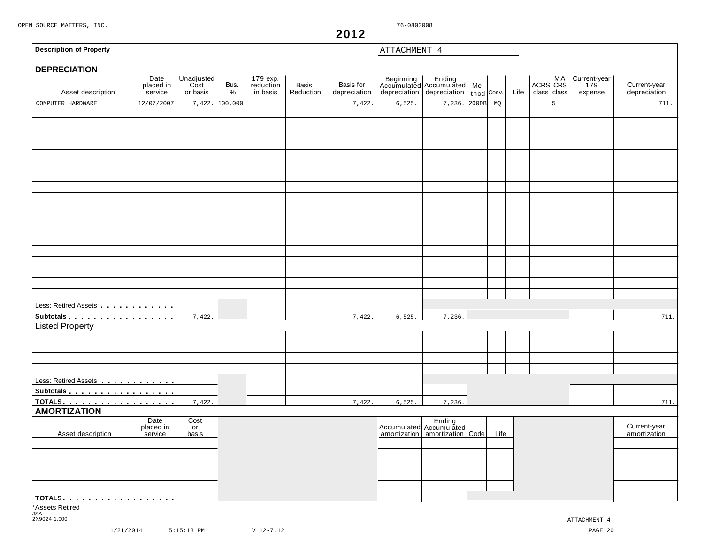**r** 

<span id="page-18-0"></span>

| <b>DEPRECIATION</b><br>Asset description<br>COMPUTER HARDWARE | Date<br>placed in<br>service<br>12/07/2007 | Unadjusted<br>or basis<br>7,422. | Bus.<br>%<br>100.000 | 179 exp.<br>reduction<br>in basis | Basis<br>Reduction | Basis for<br>depreciation<br>7,422. | 6,525. | Beginning Ending<br>Accumulated Accumulated Me-<br>depreciation depreciation thod Conv.<br>7,236. | 200DB | MQ   | Life | ACRS CRS<br>class class | 5 | Current-year<br>expense | Current-year<br>depreciation<br>711. |
|---------------------------------------------------------------|--------------------------------------------|----------------------------------|----------------------|-----------------------------------|--------------------|-------------------------------------|--------|---------------------------------------------------------------------------------------------------|-------|------|------|-------------------------|---|-------------------------|--------------------------------------|
|                                                               |                                            |                                  |                      |                                   |                    |                                     |        |                                                                                                   |       |      |      |                         |   |                         |                                      |
|                                                               |                                            |                                  |                      |                                   |                    |                                     |        |                                                                                                   |       |      |      |                         |   |                         |                                      |
|                                                               |                                            |                                  |                      |                                   |                    |                                     |        |                                                                                                   |       |      |      |                         |   |                         |                                      |
|                                                               |                                            |                                  |                      |                                   |                    |                                     |        |                                                                                                   |       |      |      |                         |   |                         |                                      |
|                                                               |                                            |                                  |                      |                                   |                    |                                     |        |                                                                                                   |       |      |      |                         |   |                         |                                      |
|                                                               |                                            |                                  |                      |                                   |                    |                                     |        |                                                                                                   |       |      |      |                         |   |                         |                                      |
|                                                               |                                            |                                  |                      |                                   |                    |                                     |        |                                                                                                   |       |      |      |                         |   |                         |                                      |
|                                                               |                                            |                                  |                      |                                   |                    |                                     |        |                                                                                                   |       |      |      |                         |   |                         |                                      |
|                                                               |                                            |                                  |                      |                                   |                    |                                     |        |                                                                                                   |       |      |      |                         |   |                         |                                      |
|                                                               |                                            |                                  |                      |                                   |                    |                                     |        |                                                                                                   |       |      |      |                         |   |                         |                                      |
|                                                               |                                            |                                  |                      |                                   |                    |                                     |        |                                                                                                   |       |      |      |                         |   |                         |                                      |
|                                                               |                                            |                                  |                      |                                   |                    |                                     |        |                                                                                                   |       |      |      |                         |   |                         |                                      |
|                                                               |                                            |                                  |                      |                                   |                    |                                     |        |                                                                                                   |       |      |      |                         |   |                         |                                      |
|                                                               |                                            |                                  |                      |                                   |                    |                                     |        |                                                                                                   |       |      |      |                         |   |                         |                                      |
|                                                               |                                            |                                  |                      |                                   |                    |                                     |        |                                                                                                   |       |      |      |                         |   |                         |                                      |
|                                                               |                                            |                                  |                      |                                   |                    |                                     |        |                                                                                                   |       |      |      |                         |   |                         |                                      |
|                                                               |                                            |                                  |                      |                                   |                    |                                     |        |                                                                                                   |       |      |      |                         |   |                         |                                      |
|                                                               |                                            |                                  |                      |                                   |                    |                                     |        |                                                                                                   |       |      |      |                         |   |                         |                                      |
|                                                               |                                            |                                  |                      |                                   |                    |                                     |        |                                                                                                   |       |      |      |                         |   |                         |                                      |
|                                                               |                                            |                                  |                      |                                   |                    |                                     |        |                                                                                                   |       |      |      |                         |   |                         |                                      |
|                                                               |                                            |                                  |                      |                                   |                    |                                     |        |                                                                                                   |       |      |      |                         |   |                         |                                      |
| Less: Retired Assets                                          |                                            |                                  |                      |                                   |                    |                                     |        |                                                                                                   |       |      |      |                         |   |                         |                                      |
| Subtotals                                                     |                                            | 7,422.                           |                      |                                   |                    | 7,422.                              | 6,525. | 7,236.                                                                                            |       |      |      |                         |   |                         | 711.                                 |
| <b>Listed Property</b>                                        |                                            |                                  |                      |                                   |                    |                                     |        |                                                                                                   |       |      |      |                         |   |                         |                                      |
|                                                               |                                            |                                  |                      |                                   |                    |                                     |        |                                                                                                   |       |      |      |                         |   |                         |                                      |
|                                                               |                                            |                                  |                      |                                   |                    |                                     |        |                                                                                                   |       |      |      |                         |   |                         |                                      |
|                                                               |                                            |                                  |                      |                                   |                    |                                     |        |                                                                                                   |       |      |      |                         |   |                         |                                      |
|                                                               |                                            |                                  |                      |                                   |                    |                                     |        |                                                                                                   |       |      |      |                         |   |                         |                                      |
| Less: Retired Assets                                          |                                            |                                  |                      |                                   |                    |                                     |        |                                                                                                   |       |      |      |                         |   |                         |                                      |
| Subtotals                                                     |                                            |                                  |                      |                                   |                    |                                     |        |                                                                                                   |       |      |      |                         |   |                         |                                      |
| TOTALS.                                                       |                                            | 7,422.                           |                      |                                   |                    | 7,422.                              | 6,525. | 7,236.                                                                                            |       |      |      |                         |   |                         | 711.                                 |
| <b>AMORTIZATION</b>                                           |                                            |                                  |                      |                                   |                    |                                     |        |                                                                                                   |       |      |      |                         |   |                         |                                      |
|                                                               | Date<br>placed in                          | Cost<br>or                       |                      |                                   |                    |                                     |        | Ending<br>Accumulated Accumulated<br>amortization amortization Code                               |       |      |      |                         |   |                         | Current-year                         |
| Asset description                                             | service                                    | basis                            |                      |                                   |                    |                                     |        |                                                                                                   |       | Life |      |                         |   |                         | amortization                         |
|                                                               |                                            |                                  |                      |                                   |                    |                                     |        |                                                                                                   |       |      |      |                         |   |                         |                                      |
|                                                               |                                            |                                  |                      |                                   |                    |                                     |        |                                                                                                   |       |      |      |                         |   |                         |                                      |
|                                                               |                                            |                                  |                      |                                   |                    |                                     |        |                                                                                                   |       |      |      |                         |   |                         |                                      |
|                                                               |                                            |                                  |                      |                                   |                    |                                     |        |                                                                                                   |       |      |      |                         |   |                         |                                      |
|                                                               |                                            |                                  |                      |                                   |                    |                                     |        |                                                                                                   |       |      |      |                         |   |                         |                                      |
| TOTALS                                                        |                                            |                                  |                      |                                   |                    |                                     |        |                                                                                                   |       |      |      |                         |   |                         |                                      |
| *Assets Retired<br>JSA                                        |                                            |                                  |                      |                                   |                    |                                     |        |                                                                                                   |       |      |      |                         |   |                         |                                      |

**2012**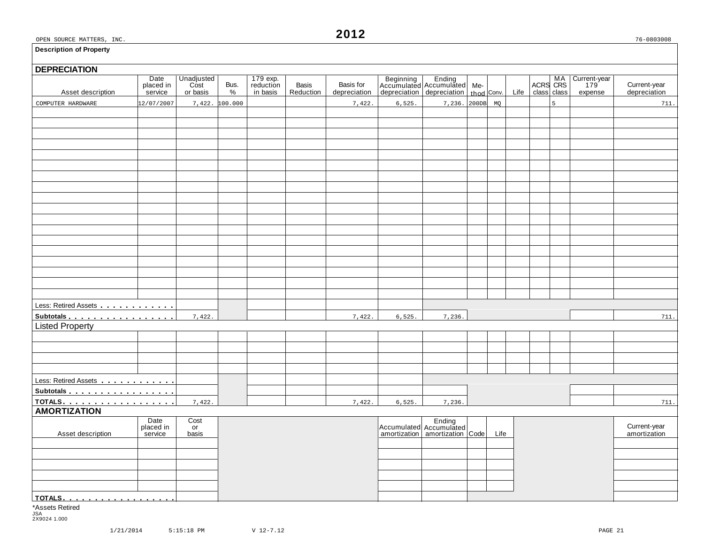# **DEPRECIATION** Asset description Date Unadjusted Bus. 179 exp. Basis Basis for Beginning Ending Me- MA Current-year placed in Cost Bus. reduction Basis Basis for Accumulated Accumulated Me- MA Current-year placed in Cost Bus. reduction B Less: Retired Assets **manual** m m m m m m m m m m **Subtotals material manufacturers**<br>Listed Property Less: Retired Assets m m m m m m m m m m m m **Subtotals** m m m m m m m m m m m m m m m m m **TOTALS** m m m m m m m m m m m m m m m m m m **AMORTIZATION** and Date Cost Date Cost Ending Ending<br>
Placed in or placed in the current-year late of Accumulated Accumulated Accumulated Life amortization amortization<br>
Asset description service basis amortization amortization amortizat **TOTALS** m m m m m m m m m m m m m m m m m m \*Assets Retired COMPUTER HARDWARE 12/07/2007 7,422. 100.000 7,422. 6,525. 7,236. 200DB MQ 5 711. 7,422. **1.1.** 7,422. **1.1.** 7,422. **1.1.** 7,422. **1.1.** 7,422. **1.1.** 7,422. **1.1.** 711. 7,422. **1.1.** 7,422. **1.1.** 7,422. **1.1.** 7,422. **1.1.** 7,236. **1.1.** 7,236. **1.1.** 711.

JSA 2X9024 1.000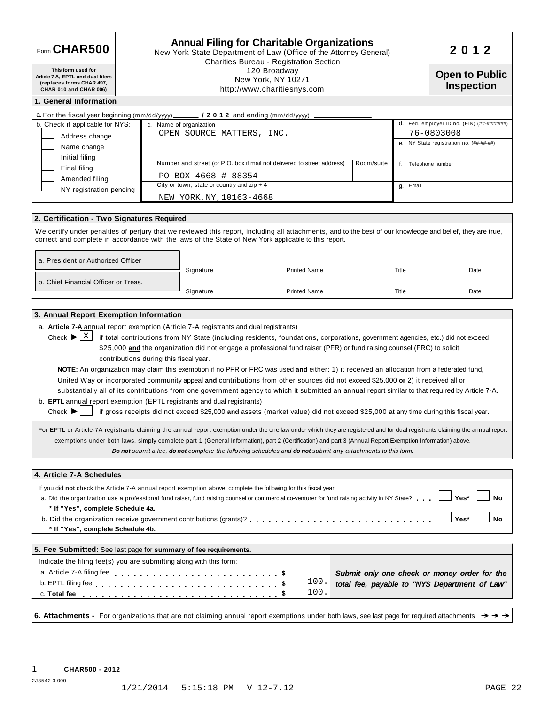| Form CHAR500                                                                                                   |                                                                                                                                                                                                                                                                                                                                                                                                                                                                                                                                                                                                                                                                                                                                                                                                                                                                                                                                                                                                                                                                                                                                                                 | <b>Annual Filing for Charitable Organizations</b><br>New York State Department of Law (Office of the Attorney General)<br>Charities Bureau - Registration Section |                                                                                               |  |  |
|----------------------------------------------------------------------------------------------------------------|-----------------------------------------------------------------------------------------------------------------------------------------------------------------------------------------------------------------------------------------------------------------------------------------------------------------------------------------------------------------------------------------------------------------------------------------------------------------------------------------------------------------------------------------------------------------------------------------------------------------------------------------------------------------------------------------------------------------------------------------------------------------------------------------------------------------------------------------------------------------------------------------------------------------------------------------------------------------------------------------------------------------------------------------------------------------------------------------------------------------------------------------------------------------|-------------------------------------------------------------------------------------------------------------------------------------------------------------------|-----------------------------------------------------------------------------------------------|--|--|
| This form used for<br>Article 7-A, EPTL and dual filers<br>(replaces forms CHAR 497,<br>CHAR 010 and CHAR 006) | 120 Broadway<br>New York, NY 10271<br>http://www.charitiesnys.com                                                                                                                                                                                                                                                                                                                                                                                                                                                                                                                                                                                                                                                                                                                                                                                                                                                                                                                                                                                                                                                                                               | <b>Open to Public</b><br><b>Inspection</b>                                                                                                                        |                                                                                               |  |  |
| 1. General Information                                                                                         |                                                                                                                                                                                                                                                                                                                                                                                                                                                                                                                                                                                                                                                                                                                                                                                                                                                                                                                                                                                                                                                                                                                                                                 |                                                                                                                                                                   |                                                                                               |  |  |
| a. For the fiscal year beginning (mm/dd/yyyy)_                                                                 | $/2012$ and ending (mm/dd/yyyy)                                                                                                                                                                                                                                                                                                                                                                                                                                                                                                                                                                                                                                                                                                                                                                                                                                                                                                                                                                                                                                                                                                                                 |                                                                                                                                                                   |                                                                                               |  |  |
| b. Check if applicable for NYS:                                                                                | c. Name of organization                                                                                                                                                                                                                                                                                                                                                                                                                                                                                                                                                                                                                                                                                                                                                                                                                                                                                                                                                                                                                                                                                                                                         |                                                                                                                                                                   | d. Fed. employer ID no. (EIN) (##-#######)                                                    |  |  |
| Address change                                                                                                 | OPEN SOURCE MATTERS, INC.                                                                                                                                                                                                                                                                                                                                                                                                                                                                                                                                                                                                                                                                                                                                                                                                                                                                                                                                                                                                                                                                                                                                       |                                                                                                                                                                   | 76-0803008                                                                                    |  |  |
| Name change                                                                                                    |                                                                                                                                                                                                                                                                                                                                                                                                                                                                                                                                                                                                                                                                                                                                                                                                                                                                                                                                                                                                                                                                                                                                                                 |                                                                                                                                                                   | e. NY State registration no. (##-##-##)                                                       |  |  |
| Initial filing                                                                                                 | Number and street (or P.O. box if mail not delivered to street address)                                                                                                                                                                                                                                                                                                                                                                                                                                                                                                                                                                                                                                                                                                                                                                                                                                                                                                                                                                                                                                                                                         | Room/suite                                                                                                                                                        |                                                                                               |  |  |
| Final filing                                                                                                   |                                                                                                                                                                                                                                                                                                                                                                                                                                                                                                                                                                                                                                                                                                                                                                                                                                                                                                                                                                                                                                                                                                                                                                 |                                                                                                                                                                   | f. Telephone number                                                                           |  |  |
| Amended filing                                                                                                 | PO BOX 4668 # 88354<br>City or town, state or country and $zip + 4$                                                                                                                                                                                                                                                                                                                                                                                                                                                                                                                                                                                                                                                                                                                                                                                                                                                                                                                                                                                                                                                                                             | g. Email                                                                                                                                                          |                                                                                               |  |  |
| NY registration pending                                                                                        | NEW YORK, NY, 10163-4668                                                                                                                                                                                                                                                                                                                                                                                                                                                                                                                                                                                                                                                                                                                                                                                                                                                                                                                                                                                                                                                                                                                                        |                                                                                                                                                                   |                                                                                               |  |  |
|                                                                                                                |                                                                                                                                                                                                                                                                                                                                                                                                                                                                                                                                                                                                                                                                                                                                                                                                                                                                                                                                                                                                                                                                                                                                                                 |                                                                                                                                                                   |                                                                                               |  |  |
| 2. Certification - Two Signatures Required                                                                     |                                                                                                                                                                                                                                                                                                                                                                                                                                                                                                                                                                                                                                                                                                                                                                                                                                                                                                                                                                                                                                                                                                                                                                 |                                                                                                                                                                   |                                                                                               |  |  |
| a. President or Authorized Officer                                                                             | We certify under penalties of perjury that we reviewed this report, including all attachments, and to the best of our knowledge and belief, they are true,<br>correct and complete in accordance with the laws of the State of New York applicable to this report.<br>Signature<br><b>Printed Name</b>                                                                                                                                                                                                                                                                                                                                                                                                                                                                                                                                                                                                                                                                                                                                                                                                                                                          | Title                                                                                                                                                             | Date                                                                                          |  |  |
| b. Chief Financial Officer or Treas.                                                                           |                                                                                                                                                                                                                                                                                                                                                                                                                                                                                                                                                                                                                                                                                                                                                                                                                                                                                                                                                                                                                                                                                                                                                                 |                                                                                                                                                                   |                                                                                               |  |  |
|                                                                                                                | Signature<br><b>Printed Name</b>                                                                                                                                                                                                                                                                                                                                                                                                                                                                                                                                                                                                                                                                                                                                                                                                                                                                                                                                                                                                                                                                                                                                | Title                                                                                                                                                             | Date                                                                                          |  |  |
|                                                                                                                |                                                                                                                                                                                                                                                                                                                                                                                                                                                                                                                                                                                                                                                                                                                                                                                                                                                                                                                                                                                                                                                                                                                                                                 |                                                                                                                                                                   |                                                                                               |  |  |
| Check $\blacktriangleright$ $\lfloor$ X $\rfloor$                                                              | a. Article 7-A annual report exemption (Article 7-A registrants and dual registrants)<br>if total contributions from NY State (including residents, foundations, corporations, government agencies, etc.) did not exceed<br>\$25,000 and the organization did not engage a professional fund raiser (PFR) or fund raising counsel (FRC) to solicit                                                                                                                                                                                                                                                                                                                                                                                                                                                                                                                                                                                                                                                                                                                                                                                                              |                                                                                                                                                                   |                                                                                               |  |  |
| Check $\blacktriangleright$                                                                                    | contributions during this fiscal year.<br>NOTE: An organization may claim this exemption if no PFR or FRC was used and either: 1) it received an allocation from a federated fund,<br>United Way or incorporated community appeal and contributions from other sources did not exceed \$25,000 or 2) it received all or<br>substantially all of its contributions from one government agency to which it submitted an annual report similar to that required by Article 7-A.<br>b. <b>EPTL</b> annual report exemption (EPTL registrants and dual registrants)<br>if gross receipts did not exceed \$25,000 and assets (market value) did not exceed \$25,000 at any time during this fiscal year.<br>For EPTL or Article-7A registrants claiming the annual report exemption under the one law under which they are registered and for dual registrants claiming the annual report<br>exemptions under both laws, simply complete part 1 (General Information), part 2 (Certification) and part 3 (Annual Report Exemption Information) above.<br>Do not submit a fee, do not complete the following schedules and do not submit any attachments to this form. |                                                                                                                                                                   |                                                                                               |  |  |
|                                                                                                                |                                                                                                                                                                                                                                                                                                                                                                                                                                                                                                                                                                                                                                                                                                                                                                                                                                                                                                                                                                                                                                                                                                                                                                 |                                                                                                                                                                   |                                                                                               |  |  |
|                                                                                                                |                                                                                                                                                                                                                                                                                                                                                                                                                                                                                                                                                                                                                                                                                                                                                                                                                                                                                                                                                                                                                                                                                                                                                                 |                                                                                                                                                                   |                                                                                               |  |  |
| * If "Yes", complete Schedule 4a.<br>* If "Yes", complete Schedule 4b.                                         | If you did not check the Article 7-A annual report exemption above, complete the following for this fiscal year:<br>a. Did the organization use a professional fund raiser, fund raising counsel or commercial co-venturer for fund raising activity in NY State?                                                                                                                                                                                                                                                                                                                                                                                                                                                                                                                                                                                                                                                                                                                                                                                                                                                                                               |                                                                                                                                                                   | Yes*<br>No<br>Yes*<br><b>No</b>                                                               |  |  |
| 4. Article 7-A Schedules                                                                                       | 5. Fee Submitted: See last page for summary of fee requirements.                                                                                                                                                                                                                                                                                                                                                                                                                                                                                                                                                                                                                                                                                                                                                                                                                                                                                                                                                                                                                                                                                                |                                                                                                                                                                   |                                                                                               |  |  |
|                                                                                                                |                                                                                                                                                                                                                                                                                                                                                                                                                                                                                                                                                                                                                                                                                                                                                                                                                                                                                                                                                                                                                                                                                                                                                                 |                                                                                                                                                                   |                                                                                               |  |  |
| a. Article 7-A filing fee                                                                                      | Indicate the filing fee(s) you are submitting along with this form:<br>100.                                                                                                                                                                                                                                                                                                                                                                                                                                                                                                                                                                                                                                                                                                                                                                                                                                                                                                                                                                                                                                                                                     |                                                                                                                                                                   | Submit only one check or money order for the<br>total fee, payable to "NYS Department of Law" |  |  |
| c. Total fee                                                                                                   | 100.                                                                                                                                                                                                                                                                                                                                                                                                                                                                                                                                                                                                                                                                                                                                                                                                                                                                                                                                                                                                                                                                                                                                                            |                                                                                                                                                                   |                                                                                               |  |  |

2J3542 3.000